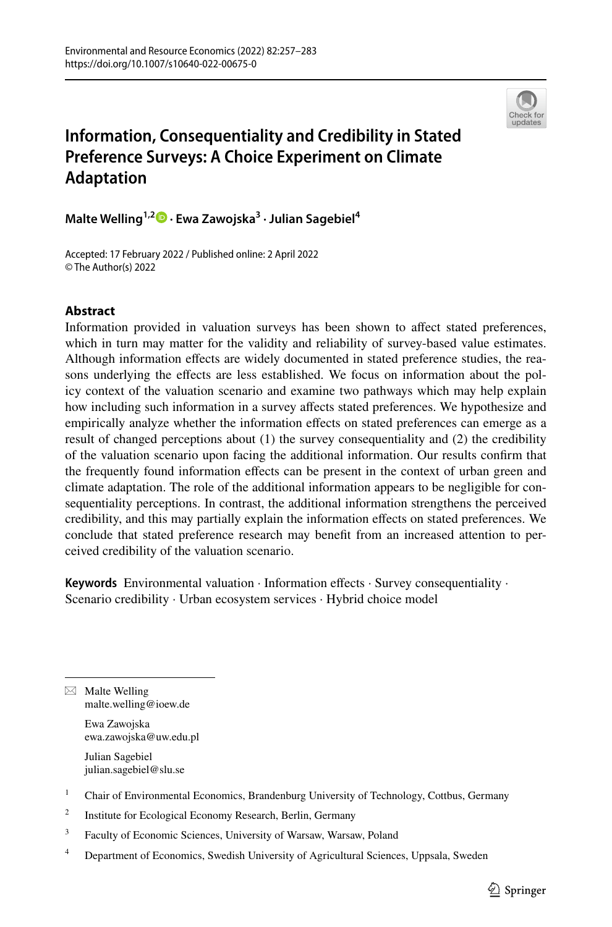

# **Information, Consequentiality and Credibility in Stated Preference Surveys: A Choice Experiment on Climate Adaptation**

**Malte Welling1,2 · Ewa Zawojska3 · Julian Sagebiel4**

Accepted: 17 February 2022 / Published online: 2 April 2022 © The Author(s) 2022

## **Abstract**

Information provided in valuation surveys has been shown to afect stated preferences, which in turn may matter for the validity and reliability of survey-based value estimates. Although information efects are widely documented in stated preference studies, the reasons underlying the efects are less established. We focus on information about the policy context of the valuation scenario and examine two pathways which may help explain how including such information in a survey afects stated preferences. We hypothesize and empirically analyze whether the information efects on stated preferences can emerge as a result of changed perceptions about (1) the survey consequentiality and (2) the credibility of the valuation scenario upon facing the additional information. Our results confrm that the frequently found information efects can be present in the context of urban green and climate adaptation. The role of the additional information appears to be negligible for consequentiality perceptions. In contrast, the additional information strengthens the perceived credibility, and this may partially explain the information efects on stated preferences. We conclude that stated preference research may beneft from an increased attention to perceived credibility of the valuation scenario.

Keywords Environmental valuation · Information effects · Survey consequentiality · Scenario credibility · Urban ecosystem services · Hybrid choice model

 $\boxtimes$  Malte Welling malte.welling@ioew.de

> Ewa Zawojska ewa.zawojska@uw.edu.pl

Julian Sagebiel julian.sagebiel@slu.se

<sup>2</sup> Institute for Ecological Economy Research, Berlin, Germany

<sup>3</sup> Faculty of Economic Sciences, University of Warsaw, Warsaw, Poland

<sup>4</sup> Department of Economics, Swedish University of Agricultural Sciences, Uppsala, Sweden

<sup>&</sup>lt;sup>1</sup> Chair of Environmental Economics, Brandenburg University of Technology, Cottbus, Germany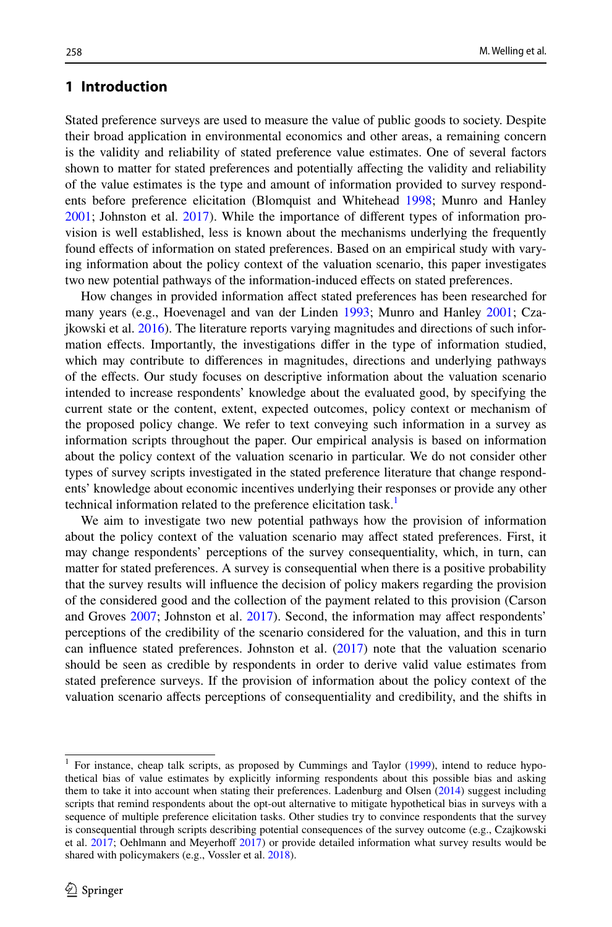## **1 Introduction**

Stated preference surveys are used to measure the value of public goods to society. Despite their broad application in environmental economics and other areas, a remaining concern is the validity and reliability of stated preference value estimates. One of several factors shown to matter for stated preferences and potentially afecting the validity and reliability of the value estimates is the type and amount of information provided to survey respondents before preference elicitation (Blomquist and Whitehead [1998](#page-24-0); Munro and Hanley [2001;](#page-25-0) Johnston et al. [2017](#page-25-1)). While the importance of diferent types of information provision is well established, less is known about the mechanisms underlying the frequently found efects of information on stated preferences. Based on an empirical study with varying information about the policy context of the valuation scenario, this paper investigates two new potential pathways of the information-induced efects on stated preferences.

How changes in provided information afect stated preferences has been researched for many years (e.g., Hoevenagel and van der Linden [1993;](#page-25-2) Munro and Hanley [2001](#page-25-0); Czajkowski et al. [2016](#page-24-1)). The literature reports varying magnitudes and directions of such information efects. Importantly, the investigations difer in the type of information studied, which may contribute to diferences in magnitudes, directions and underlying pathways of the efects. Our study focuses on descriptive information about the valuation scenario intended to increase respondents' knowledge about the evaluated good, by specifying the current state or the content, extent, expected outcomes, policy context or mechanism of the proposed policy change. We refer to text conveying such information in a survey as information scripts throughout the paper. Our empirical analysis is based on information about the policy context of the valuation scenario in particular. We do not consider other types of survey scripts investigated in the stated preference literature that change respondents' knowledge about economic incentives underlying their responses or provide any other technical information related to the preference elicitation task.<sup>[1](#page-1-0)</sup>

We aim to investigate two new potential pathways how the provision of information about the policy context of the valuation scenario may afect stated preferences. First, it may change respondents' perceptions of the survey consequentiality, which, in turn, can matter for stated preferences. A survey is consequential when there is a positive probability that the survey results will infuence the decision of policy makers regarding the provision of the considered good and the collection of the payment related to this provision (Carson and Groves [2007;](#page-24-2) Johnston et al. [2017](#page-25-1)). Second, the information may afect respondents' perceptions of the credibility of the scenario considered for the valuation, and this in turn can infuence stated preferences. Johnston et al. [\(2017](#page-25-1)) note that the valuation scenario should be seen as credible by respondents in order to derive valid value estimates from stated preference surveys. If the provision of information about the policy context of the valuation scenario afects perceptions of consequentiality and credibility, and the shifts in

<span id="page-1-0"></span> $1$  For instance, cheap talk scripts, as proposed by Cummings and Taylor ([1999\)](#page-24-3), intend to reduce hypothetical bias of value estimates by explicitly informing respondents about this possible bias and asking them to take it into account when stating their preferences. Ladenburg and Olsen ([2014\)](#page-25-3) suggest including scripts that remind respondents about the opt-out alternative to mitigate hypothetical bias in surveys with a sequence of multiple preference elicitation tasks. Other studies try to convince respondents that the survey is consequential through scripts describing potential consequences of the survey outcome (e.g., Czajkowski et al. [2017](#page-25-4); Oehlmann and Meyerhoff 2017) or provide detailed information what survey results would be shared with policymakers (e.g., Vossler et al. [2018](#page-26-0)).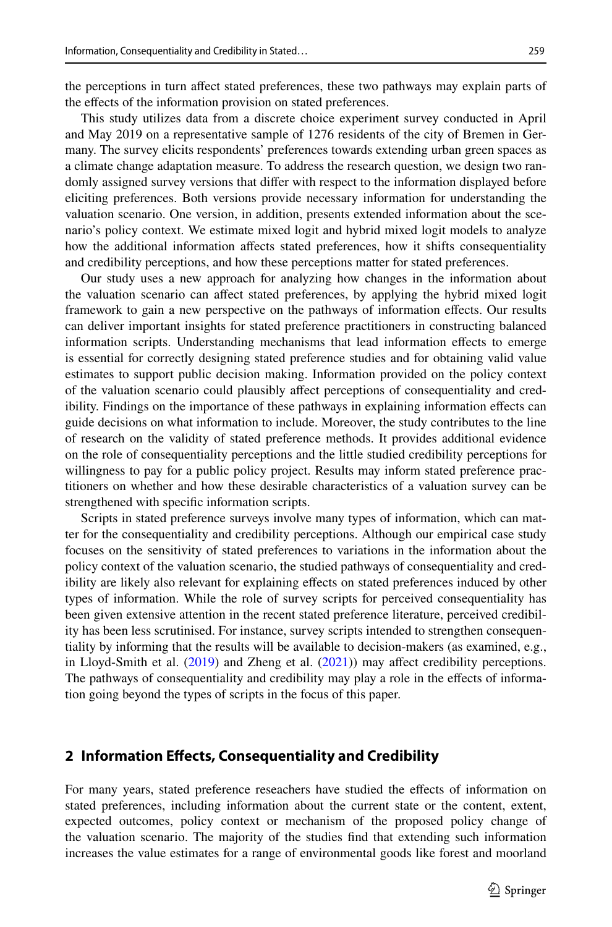the perceptions in turn afect stated preferences, these two pathways may explain parts of the effects of the information provision on stated preferences.

This study utilizes data from a discrete choice experiment survey conducted in April and May 2019 on a representative sample of 1276 residents of the city of Bremen in Germany. The survey elicits respondents' preferences towards extending urban green spaces as a climate change adaptation measure. To address the research question, we design two randomly assigned survey versions that difer with respect to the information displayed before eliciting preferences. Both versions provide necessary information for understanding the valuation scenario. One version, in addition, presents extended information about the scenario's policy context. We estimate mixed logit and hybrid mixed logit models to analyze how the additional information afects stated preferences, how it shifts consequentiality and credibility perceptions, and how these perceptions matter for stated preferences.

Our study uses a new approach for analyzing how changes in the information about the valuation scenario can afect stated preferences, by applying the hybrid mixed logit framework to gain a new perspective on the pathways of information efects. Our results can deliver important insights for stated preference practitioners in constructing balanced information scripts. Understanding mechanisms that lead information efects to emerge is essential for correctly designing stated preference studies and for obtaining valid value estimates to support public decision making. Information provided on the policy context of the valuation scenario could plausibly afect perceptions of consequentiality and credibility. Findings on the importance of these pathways in explaining information efects can guide decisions on what information to include. Moreover, the study contributes to the line of research on the validity of stated preference methods. It provides additional evidence on the role of consequentiality perceptions and the little studied credibility perceptions for willingness to pay for a public policy project. Results may inform stated preference practitioners on whether and how these desirable characteristics of a valuation survey can be strengthened with specifc information scripts.

Scripts in stated preference surveys involve many types of information, which can matter for the consequentiality and credibility perceptions. Although our empirical case study focuses on the sensitivity of stated preferences to variations in the information about the policy context of the valuation scenario, the studied pathways of consequentiality and credibility are likely also relevant for explaining effects on stated preferences induced by other types of information. While the role of survey scripts for perceived consequentiality has been given extensive attention in the recent stated preference literature, perceived credibility has been less scrutinised. For instance, survey scripts intended to strengthen consequentiality by informing that the results will be available to decision-makers (as examined, e.g., in Lloyd-Smith et al. [\(2019](#page-25-5)) and Zheng et al. [\(2021](#page-26-1))) may afect credibility perceptions. The pathways of consequentiality and credibility may play a role in the efects of information going beyond the types of scripts in the focus of this paper.

## <span id="page-2-0"></span>**2 Information Efects, Consequentiality and Credibility**

For many years, stated preference reseachers have studied the efects of information on stated preferences, including information about the current state or the content, extent, expected outcomes, policy context or mechanism of the proposed policy change of the valuation scenario. The majority of the studies fnd that extending such information increases the value estimates for a range of environmental goods like forest and moorland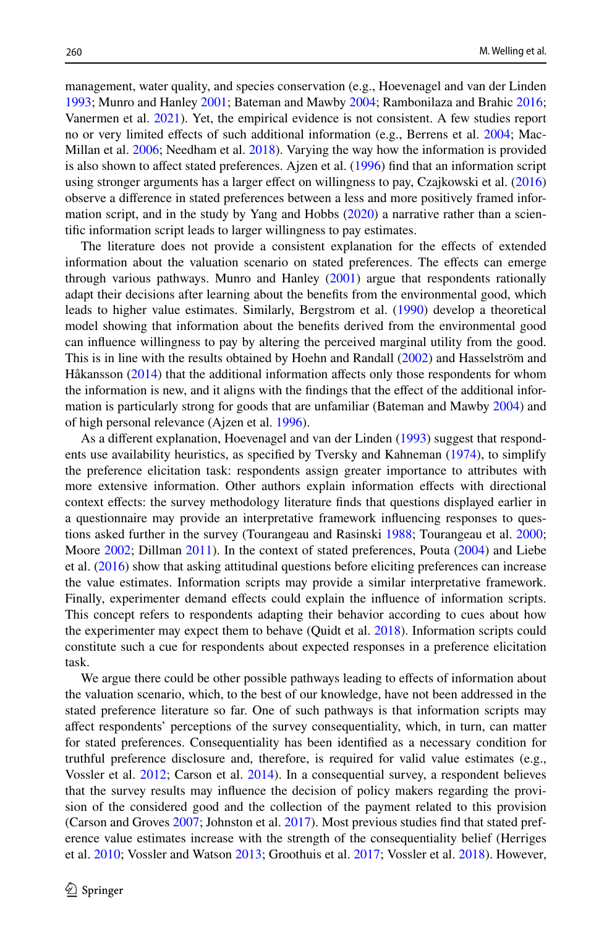management, water quality, and species conservation (e.g., Hoevenagel and van der Linden [1993;](#page-25-2) Munro and Hanley [2001](#page-25-0); Bateman and Mawby [2004](#page-24-5); Rambonilaza and Brahic [2016;](#page-25-6) Vanermen et al. [2021\)](#page-26-2). Yet, the empirical evidence is not consistent. A few studies report no or very limited efects of such additional information (e.g., Berrens et al. [2004;](#page-24-6) Mac-Millan et al. [2006](#page-25-7); Needham et al. [2018\)](#page-25-8). Varying the way how the information is provided is also shown to afect stated preferences. Ajzen et al. ([1996\)](#page-24-7) fnd that an information script using stronger arguments has a larger efect on willingness to pay, Czajkowski et al. [\(2016](#page-24-1)) observe a diference in stated preferences between a less and more positively framed information script, and in the study by Yang and Hobbs  $(2020)$  $(2020)$  a narrative rather than a scientifc information script leads to larger willingness to pay estimates.

The literature does not provide a consistent explanation for the efects of extended information about the valuation scenario on stated preferences. The efects can emerge through various pathways. Munro and Hanley ([2001\)](#page-25-0) argue that respondents rationally adapt their decisions after learning about the benefts from the environmental good, which leads to higher value estimates. Similarly, Bergstrom et al. [\(1990](#page-24-8)) develop a theoretical model showing that information about the benefts derived from the environmental good can infuence willingness to pay by altering the perceived marginal utility from the good. This is in line with the results obtained by Hoehn and Randall ([2002\)](#page-25-9) and Hasselström and Håkansson [\(2014](#page-25-10)) that the additional information affects only those respondents for whom the information is new, and it aligns with the fndings that the efect of the additional information is particularly strong for goods that are unfamiliar (Bateman and Mawby [2004](#page-24-5)) and of high personal relevance (Ajzen et al. [1996](#page-24-7)).

As a diferent explanation, Hoevenagel and van der Linden [\(1993](#page-25-2)) suggest that respondents use availability heuristics, as specifed by Tversky and Kahneman [\(1974](#page-26-4)), to simplify the preference elicitation task: respondents assign greater importance to attributes with more extensive information. Other authors explain information efects with directional context efects: the survey methodology literature fnds that questions displayed earlier in a questionnaire may provide an interpretative framework infuencing responses to questions asked further in the survey (Tourangeau and Rasinski [1988](#page-26-5); Tourangeau et al. [2000;](#page-26-6) Moore [2002;](#page-25-11) Dillman [2011\)](#page-25-12). In the context of stated preferences, Pouta [\(2004](#page-25-13)) and Liebe et al. ([2016\)](#page-25-14) show that asking attitudinal questions before eliciting preferences can increase the value estimates. Information scripts may provide a similar interpretative framework. Finally, experimenter demand efects could explain the infuence of information scripts. This concept refers to respondents adapting their behavior according to cues about how the experimenter may expect them to behave (Quidt et al. [2018\)](#page-25-15). Information scripts could constitute such a cue for respondents about expected responses in a preference elicitation task.

We argue there could be other possible pathways leading to effects of information about the valuation scenario, which, to the best of our knowledge, have not been addressed in the stated preference literature so far. One of such pathways is that information scripts may afect respondents' perceptions of the survey consequentiality, which, in turn, can matter for stated preferences. Consequentiality has been identifed as a necessary condition for truthful preference disclosure and, therefore, is required for valid value estimates (e.g., Vossler et al. [2012;](#page-26-7) Carson et al. [2014\)](#page-24-9). In a consequential survey, a respondent believes that the survey results may infuence the decision of policy makers regarding the provision of the considered good and the collection of the payment related to this provision (Carson and Groves [2007](#page-24-2); Johnston et al. [2017](#page-25-1)). Most previous studies fnd that stated preference value estimates increase with the strength of the consequentiality belief (Herriges et al. [2010;](#page-25-16) Vossler and Watson [2013](#page-26-8); Groothuis et al. [2017](#page-25-17); Vossler et al. [2018\)](#page-26-0). However,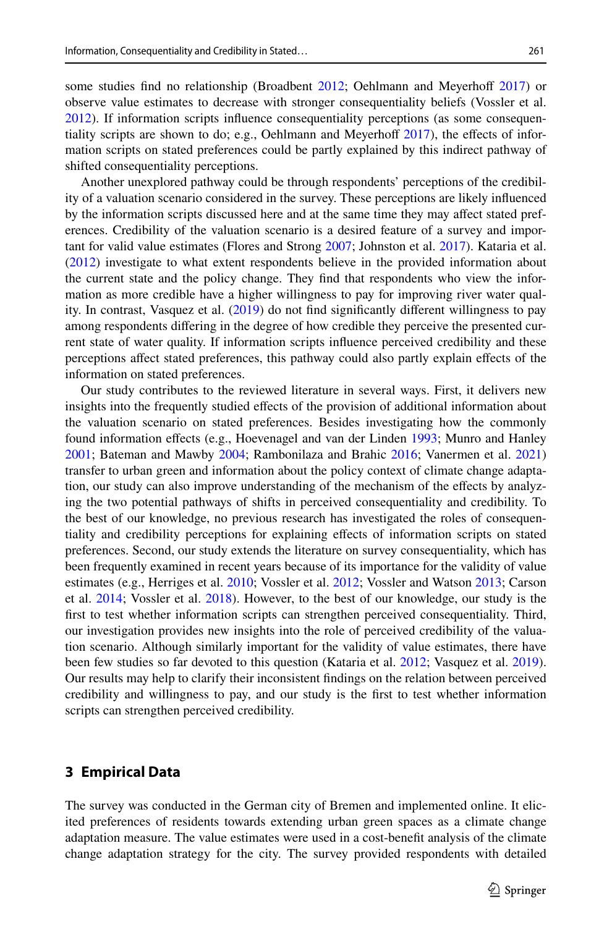some studies find no relationship (Broadbent [2012](#page-24-10); Oehlmann and Meyerhoff [2017\)](#page-25-4) or observe value estimates to decrease with stronger consequentiality beliefs (Vossler et al. [2012\)](#page-26-7). If information scripts infuence consequentiality perceptions (as some consequentiality scripts are shown to do; e.g., Oehlmann and Meyerhoff  $2017$ ), the effects of information scripts on stated preferences could be partly explained by this indirect pathway of shifted consequentiality perceptions.

Another unexplored pathway could be through respondents' perceptions of the credibility of a valuation scenario considered in the survey. These perceptions are likely infuenced by the information scripts discussed here and at the same time they may afect stated preferences. Credibility of the valuation scenario is a desired feature of a survey and important for valid value estimates (Flores and Strong [2007;](#page-25-18) Johnston et al. [2017\)](#page-25-1). Kataria et al. ([2012\)](#page-25-19) investigate to what extent respondents believe in the provided information about the current state and the policy change. They fnd that respondents who view the information as more credible have a higher willingness to pay for improving river water quality. In contrast, Vasquez et al. [\(2019](#page-26-9)) do not fnd signifcantly diferent willingness to pay among respondents difering in the degree of how credible they perceive the presented current state of water quality. If information scripts infuence perceived credibility and these perceptions afect stated preferences, this pathway could also partly explain efects of the information on stated preferences.

Our study contributes to the reviewed literature in several ways. First, it delivers new insights into the frequently studied efects of the provision of additional information about the valuation scenario on stated preferences. Besides investigating how the commonly found information efects (e.g., Hoevenagel and van der Linden [1993](#page-25-2); Munro and Hanley [2001;](#page-25-0) Bateman and Mawby [2004](#page-24-5); Rambonilaza and Brahic [2016;](#page-25-6) Vanermen et al. [2021](#page-26-2)) transfer to urban green and information about the policy context of climate change adaptation, our study can also improve understanding of the mechanism of the efects by analyzing the two potential pathways of shifts in perceived consequentiality and credibility. To the best of our knowledge, no previous research has investigated the roles of consequentiality and credibility perceptions for explaining efects of information scripts on stated preferences. Second, our study extends the literature on survey consequentiality, which has been frequently examined in recent years because of its importance for the validity of value estimates (e.g., Herriges et al. [2010](#page-25-16); Vossler et al. [2012](#page-26-7); Vossler and Watson [2013](#page-26-8); Carson et al. [2014](#page-24-9); Vossler et al. [2018\)](#page-26-0). However, to the best of our knowledge, our study is the first to test whether information scripts can strengthen perceived consequentiality. Third, our investigation provides new insights into the role of perceived credibility of the valuation scenario. Although similarly important for the validity of value estimates, there have been few studies so far devoted to this question (Kataria et al. [2012](#page-25-19); Vasquez et al. [2019](#page-26-9)). Our results may help to clarify their inconsistent fndings on the relation between perceived credibility and willingness to pay, and our study is the frst to test whether information scripts can strengthen perceived credibility.

## **3 Empirical Data**

The survey was conducted in the German city of Bremen and implemented online. It elicited preferences of residents towards extending urban green spaces as a climate change adaptation measure. The value estimates were used in a cost-beneft analysis of the climate change adaptation strategy for the city. The survey provided respondents with detailed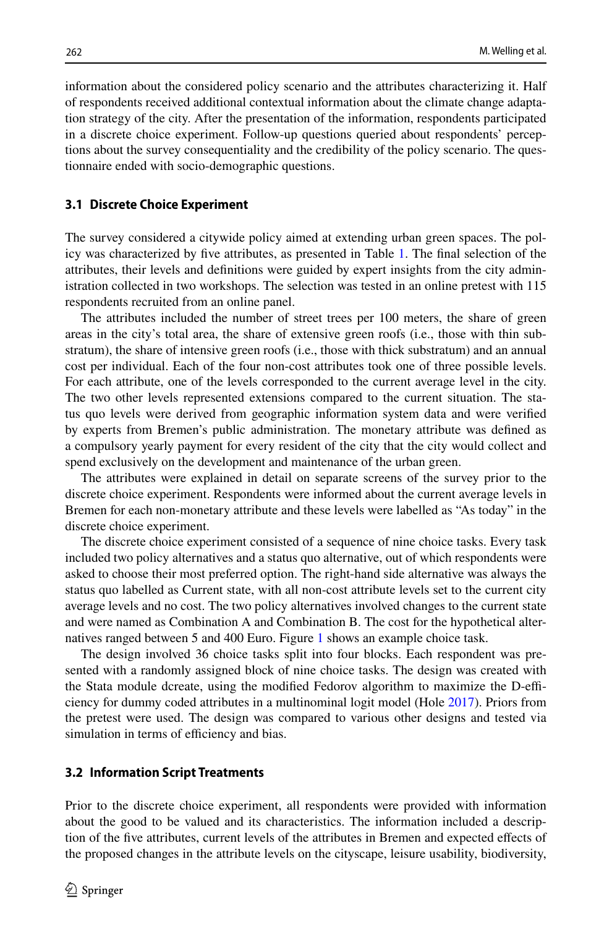information about the considered policy scenario and the attributes characterizing it. Half of respondents received additional contextual information about the climate change adaptation strategy of the city. After the presentation of the information, respondents participated in a discrete choice experiment. Follow-up questions queried about respondents' perceptions about the survey consequentiality and the credibility of the policy scenario. The questionnaire ended with socio-demographic questions.

#### **3.1 Discrete Choice Experiment**

The survey considered a citywide policy aimed at extending urban green spaces. The policy was characterized by fve attributes, as presented in Table [1.](#page-6-0) The fnal selection of the attributes, their levels and defnitions were guided by expert insights from the city administration collected in two workshops. The selection was tested in an online pretest with 115 respondents recruited from an online panel.

The attributes included the number of street trees per 100 meters, the share of green areas in the city's total area, the share of extensive green roofs (i.e., those with thin substratum), the share of intensive green roofs (i.e., those with thick substratum) and an annual cost per individual. Each of the four non-cost attributes took one of three possible levels. For each attribute, one of the levels corresponded to the current average level in the city. The two other levels represented extensions compared to the current situation. The status quo levels were derived from geographic information system data and were verifed by experts from Bremen's public administration. The monetary attribute was defned as a compulsory yearly payment for every resident of the city that the city would collect and spend exclusively on the development and maintenance of the urban green.

The attributes were explained in detail on separate screens of the survey prior to the discrete choice experiment. Respondents were informed about the current average levels in Bremen for each non-monetary attribute and these levels were labelled as "As today" in the discrete choice experiment.

The discrete choice experiment consisted of a sequence of nine choice tasks. Every task included two policy alternatives and a status quo alternative, out of which respondents were asked to choose their most preferred option. The right-hand side alternative was always the status quo labelled as Current state, with all non-cost attribute levels set to the current city average levels and no cost. The two policy alternatives involved changes to the current state and were named as Combination A and Combination B. The cost for the hypothetical alternatives ranged between 5 and 400 Euro. Figure [1](#page-7-0) shows an example choice task.

The design involved 36 choice tasks split into four blocks. Each respondent was presented with a randomly assigned block of nine choice tasks. The design was created with the Stata module dcreate, using the modified Fedorov algorithm to maximize the D-efficiency for dummy coded attributes in a multinominal logit model (Hole [2017\)](#page-25-20). Priors from the pretest were used. The design was compared to various other designs and tested via simulation in terms of efficiency and bias.

#### **3.2 Information Script Treatments**

Prior to the discrete choice experiment, all respondents were provided with information about the good to be valued and its characteristics. The information included a description of the fve attributes, current levels of the attributes in Bremen and expected efects of the proposed changes in the attribute levels on the cityscape, leisure usability, biodiversity,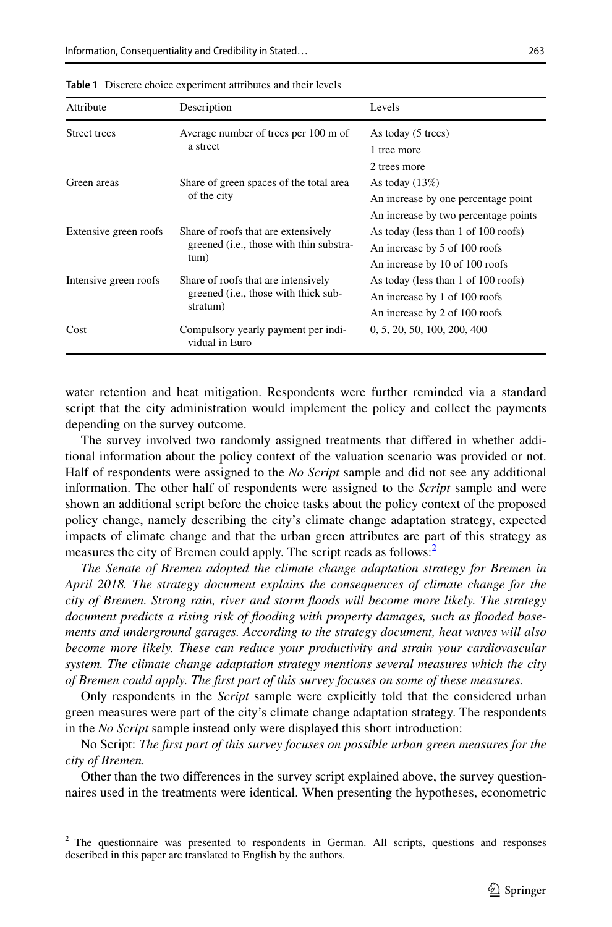| Attribute             | Description                                                                             | Levels                               |
|-----------------------|-----------------------------------------------------------------------------------------|--------------------------------------|
| Street trees          | Average number of trees per 100 m of                                                    | As today (5 trees)                   |
|                       | a street                                                                                | 1 tree more                          |
|                       |                                                                                         | 2 trees more                         |
| Green areas           | Share of green spaces of the total area                                                 | As today $(13%)$                     |
|                       | of the city                                                                             | An increase by one percentage point  |
|                       |                                                                                         | An increase by two percentage points |
| Extensive green roofs | Share of roofs that are extensively<br>greened ( <i>i.e.</i> , those with thin substra- | As today (less than 1 of 100 roofs)  |
|                       |                                                                                         | An increase by 5 of 100 roofs        |
|                       | tum)                                                                                    | An increase by 10 of 100 roofs       |
| Intensive green roofs | Share of roofs that are intensively                                                     | As today (less than 1 of 100 roofs)  |
|                       | greened ( <i>i.e.</i> , those with thick sub-                                           | An increase by 1 of 100 roofs        |
|                       | stratum)                                                                                | An increase by 2 of 100 roofs        |
| Cost                  | Compulsory yearly payment per indi-<br>vidual in Euro                                   | 0, 5, 20, 50, 100, 200, 400          |

<span id="page-6-0"></span>**Table 1** Discrete choice experiment attributes and their levels

water retention and heat mitigation. Respondents were further reminded via a standard script that the city administration would implement the policy and collect the payments depending on the survey outcome.

The survey involved two randomly assigned treatments that difered in whether additional information about the policy context of the valuation scenario was provided or not. Half of respondents were assigned to the *No Script* sample and did not see any additional information. The other half of respondents were assigned to the *Script* sample and were shown an additional script before the choice tasks about the policy context of the proposed policy change, namely describing the city's climate change adaptation strategy, expected impacts of climate change and that the urban green attributes are part of this strategy as measures the city of Bremen could apply. The script reads as follows:<sup>2</sup>

*The Senate of Bremen adopted the climate change adaptation strategy for Bremen in April 2018. The strategy document explains the consequences of climate change for the city of Bremen. Strong rain, river and storm foods will become more likely. The strategy document predicts a rising risk of fooding with property damages, such as fooded basements and underground garages. According to the strategy document, heat waves will also become more likely. These can reduce your productivity and strain your cardiovascular system. The climate change adaptation strategy mentions several measures which the city of Bremen could apply. The frst part of this survey focuses on some of these measures.*

Only respondents in the *Script* sample were explicitly told that the considered urban green measures were part of the city's climate change adaptation strategy. The respondents in the *No Script* sample instead only were displayed this short introduction:

No Script: *The frst part of this survey focuses on possible urban green measures for the city of Bremen.*

Other than the two diferences in the survey script explained above, the survey questionnaires used in the treatments were identical. When presenting the hypotheses, econometric

<span id="page-6-1"></span><sup>&</sup>lt;sup>2</sup> The questionnaire was presented to respondents in German. All scripts, questions and responses described in this paper are translated to English by the authors.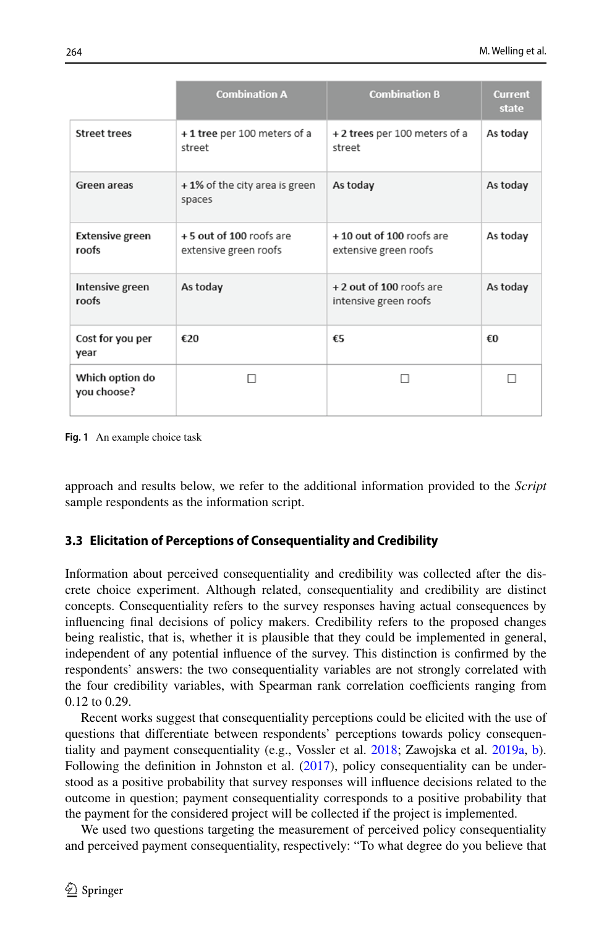|                                | <b>Combination A</b>                             | <b>Combination B</b>                              | <b>Current</b><br>state |
|--------------------------------|--------------------------------------------------|---------------------------------------------------|-------------------------|
| <b>Street trees</b>            | +1 tree per 100 meters of a<br>street            | +2 trees per 100 meters of a<br>street            | As today                |
| Green areas                    | +1% of the city area is green<br>spaces          | As today                                          | As today                |
| Extensive green<br>roofs       | +5 out of 100 roofs are<br>extensive green roofs | +10 out of 100 roofs are<br>extensive green roofs | As today                |
| Intensive green<br>roofs       | As today                                         | + 2 out of 100 roofs are<br>intensive green roofs | As today                |
| Cost for you per<br>year       | €20                                              | €5                                                | €O                      |
| Which option do<br>you choose? | п                                                | п                                                 |                         |

<span id="page-7-0"></span>**Fig. 1** An example choice task

approach and results below, we refer to the additional information provided to the *Script* sample respondents as the information script.

## <span id="page-7-1"></span>**3.3 Elicitation of Perceptions of Consequentiality and Credibility**

Information about perceived consequentiality and credibility was collected after the discrete choice experiment. Although related, consequentiality and credibility are distinct concepts. Consequentiality refers to the survey responses having actual consequences by infuencing fnal decisions of policy makers. Credibility refers to the proposed changes being realistic, that is, whether it is plausible that they could be implemented in general, independent of any potential infuence of the survey. This distinction is confrmed by the respondents' answers: the two consequentiality variables are not strongly correlated with the four credibility variables, with Spearman rank correlation coefficients ranging from 0.12 to 0.29.

Recent works suggest that consequentiality perceptions could be elicited with the use of questions that diferentiate between respondents' perceptions towards policy consequentiality and payment consequentiality (e.g., Vossler et al. [2018;](#page-26-0) Zawojska et al. [2019a,](#page-26-10) [b](#page-26-11)). Following the definition in Johnston et al.  $(2017)$  $(2017)$ , policy consequentiality can be understood as a positive probability that survey responses will infuence decisions related to the outcome in question; payment consequentiality corresponds to a positive probability that the payment for the considered project will be collected if the project is implemented.

We used two questions targeting the measurement of perceived policy consequentiality and perceived payment consequentiality, respectively: "To what degree do you believe that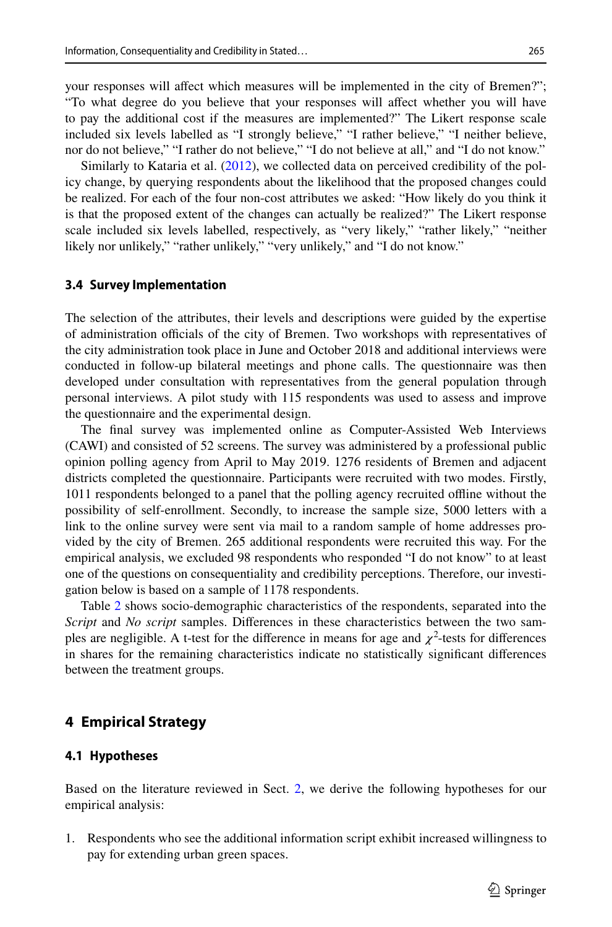your responses will afect which measures will be implemented in the city of Bremen?"; "To what degree do you believe that your responses will afect whether you will have to pay the additional cost if the measures are implemented?" The Likert response scale included six levels labelled as "I strongly believe," "I rather believe," "I neither believe, nor do not believe," "I rather do not believe," "I do not believe at all," and "I do not know."

Similarly to Kataria et al. ([2012\)](#page-25-19), we collected data on perceived credibility of the policy change, by querying respondents about the likelihood that the proposed changes could be realized. For each of the four non-cost attributes we asked: "How likely do you think it is that the proposed extent of the changes can actually be realized?" The Likert response scale included six levels labelled, respectively, as "very likely," "rather likely," "neither likely nor unlikely," "rather unlikely," "very unlikely," and "I do not know."

#### **3.4 Survey Implementation**

The selection of the attributes, their levels and descriptions were guided by the expertise of administration officials of the city of Bremen. Two workshops with representatives of the city administration took place in June and October 2018 and additional interviews were conducted in follow-up bilateral meetings and phone calls. The questionnaire was then developed under consultation with representatives from the general population through personal interviews. A pilot study with 115 respondents was used to assess and improve the questionnaire and the experimental design.

The fnal survey was implemented online as Computer-Assisted Web Interviews (CAWI) and consisted of 52 screens. The survey was administered by a professional public opinion polling agency from April to May 2019. 1276 residents of Bremen and adjacent districts completed the questionnaire. Participants were recruited with two modes. Firstly, 1011 respondents belonged to a panel that the polling agency recruited ofine without the possibility of self-enrollment. Secondly, to increase the sample size, 5000 letters with a link to the online survey were sent via mail to a random sample of home addresses provided by the city of Bremen. 265 additional respondents were recruited this way. For the empirical analysis, we excluded 98 respondents who responded "I do not know" to at least one of the questions on consequentiality and credibility perceptions. Therefore, our investigation below is based on a sample of 1178 respondents.

Table [2](#page-9-0) shows socio-demographic characteristics of the respondents, separated into the *Script* and *No script* samples. Diferences in these characteristics between the two samples are negligible. A t-test for the difference in means for age and  $\chi^2$ -tests for differences in shares for the remaining characteristics indicate no statistically signifcant diferences between the treatment groups.

## **4 Empirical Strategy**

### **4.1 Hypotheses**

Based on the literature reviewed in Sect. [2](#page-2-0), we derive the following hypotheses for our empirical analysis:

1. Respondents who see the additional information script exhibit increased willingness to pay for extending urban green spaces.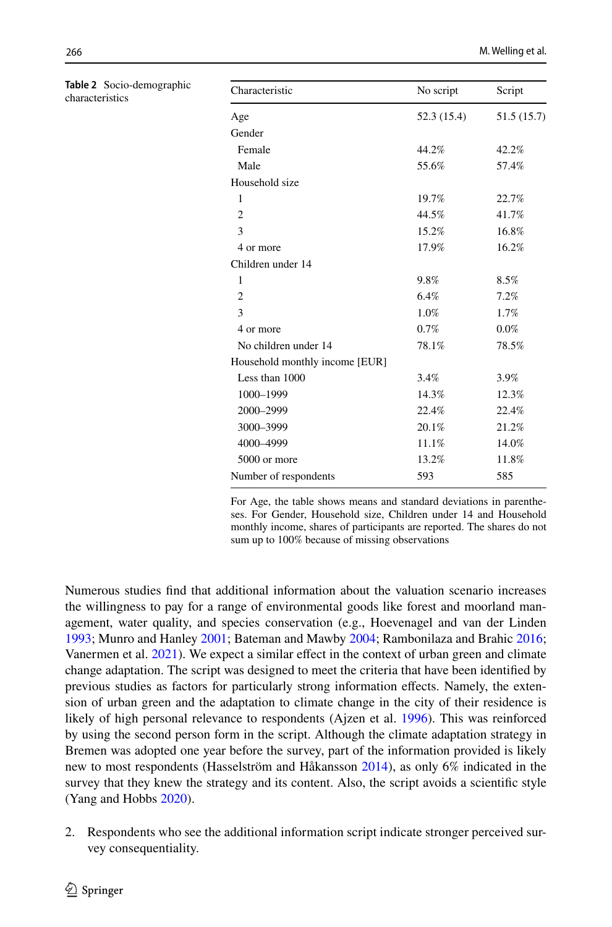| Characteristic                 | No script   | Script      |
|--------------------------------|-------------|-------------|
| Age                            | 52.3 (15.4) | 51.5 (15.7) |
| Gender                         |             |             |
| Female                         | 44.2%       | 42.2%       |
| Male                           | 55.6%       | 57.4%       |
| Household size                 |             |             |
| 1                              | 19.7%       | 22.7%       |
| $\overline{2}$                 | 44.5%       | 41.7%       |
| 3                              | 15.2%       | 16.8%       |
| 4 or more                      | 17.9%       | 16.2%       |
| Children under 14              |             |             |
| 1                              | 9.8%        | 8.5%        |
| $\overline{c}$                 | 6.4%        | 7.2%        |
| 3                              | 1.0%        | 1.7%        |
| 4 or more                      | 0.7%        | 0.0%        |
| No children under 14           | 78.1%       | 78.5%       |
| Household monthly income [EUR] |             |             |
| Less than 1000                 | 3.4%        | 3.9%        |
| 1000-1999                      | 14.3%       | 12.3%       |
| 2000-2999                      | 22.4%       | 22.4%       |
| 3000-3999                      | 20.1%       | 21.2%       |
| 4000-4999                      | 11.1%       | 14.0%       |
| 5000 or more                   | 13.2%       | 11.8%       |
| Number of respondents          | 593         | 585         |
|                                |             |             |

For Age, the table shows means and standard deviations in parentheses. For Gender, Household size, Children under 14 and Household monthly income, shares of participants are reported. The shares do not sum up to 100% because of missing observations

Numerous studies fnd that additional information about the valuation scenario increases the willingness to pay for a range of environmental goods like forest and moorland management, water quality, and species conservation (e.g., Hoevenagel and van der Linden [1993;](#page-25-2) Munro and Hanley [2001](#page-25-0); Bateman and Mawby [2004](#page-24-5); Rambonilaza and Brahic [2016;](#page-25-6) Vanermen et al. [2021\)](#page-26-2). We expect a similar efect in the context of urban green and climate change adaptation. The script was designed to meet the criteria that have been identifed by previous studies as factors for particularly strong information efects. Namely, the extension of urban green and the adaptation to climate change in the city of their residence is likely of high personal relevance to respondents (Ajzen et al. [1996](#page-24-7)). This was reinforced by using the second person form in the script. Although the climate adaptation strategy in Bremen was adopted one year before the survey, part of the information provided is likely new to most respondents (Hasselström and Håkansson [2014\)](#page-25-10), as only 6% indicated in the survey that they knew the strategy and its content. Also, the script avoids a scientifc style (Yang and Hobbs [2020](#page-26-3)).

2. Respondents who see the additional information script indicate stronger perceived survey consequentiality.

<span id="page-9-0"></span>**Table 2** Socio-demographic

characteristics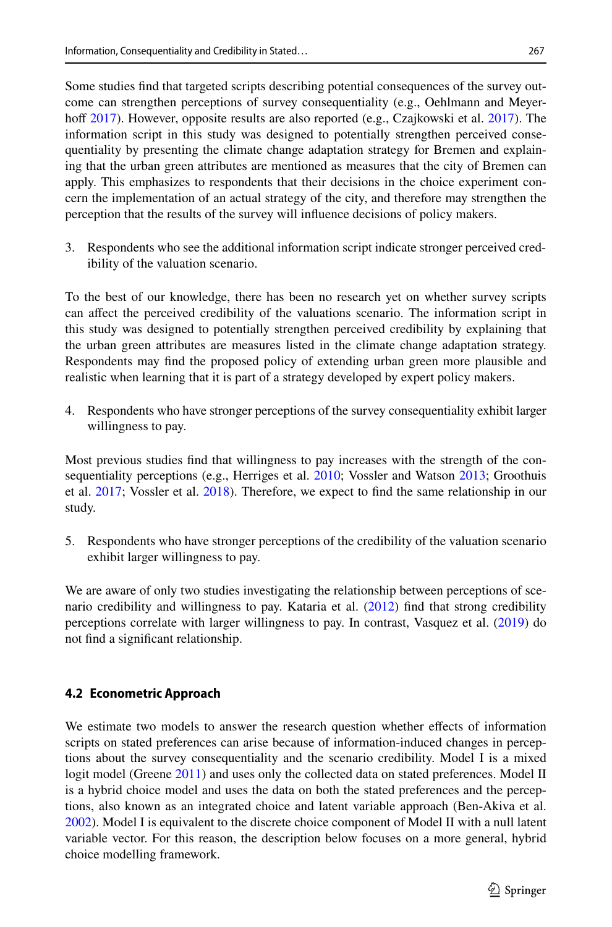Some studies fnd that targeted scripts describing potential consequences of the survey outcome can strengthen perceptions of survey consequentiality (e.g., Oehlmann and Meyer-hoff [2017\)](#page-24-4). However, opposite results are also reported (e.g., Czajkowski et al. 2017). The information script in this study was designed to potentially strengthen perceived consequentiality by presenting the climate change adaptation strategy for Bremen and explaining that the urban green attributes are mentioned as measures that the city of Bremen can apply. This emphasizes to respondents that their decisions in the choice experiment concern the implementation of an actual strategy of the city, and therefore may strengthen the perception that the results of the survey will infuence decisions of policy makers.

3. Respondents who see the additional information script indicate stronger perceived credibility of the valuation scenario.

To the best of our knowledge, there has been no research yet on whether survey scripts can afect the perceived credibility of the valuations scenario. The information script in this study was designed to potentially strengthen perceived credibility by explaining that the urban green attributes are measures listed in the climate change adaptation strategy. Respondents may fnd the proposed policy of extending urban green more plausible and realistic when learning that it is part of a strategy developed by expert policy makers.

4. Respondents who have stronger perceptions of the survey consequentiality exhibit larger willingness to pay.

Most previous studies fnd that willingness to pay increases with the strength of the con-sequentiality perceptions (e.g., Herriges et al. [2010;](#page-25-16) Vossler and Watson [2013;](#page-26-8) Groothuis et al. [2017;](#page-25-17) Vossler et al. [2018](#page-26-0)). Therefore, we expect to fnd the same relationship in our study.

5. Respondents who have stronger perceptions of the credibility of the valuation scenario exhibit larger willingness to pay.

We are aware of only two studies investigating the relationship between perceptions of scenario credibility and willingness to pay. Kataria et al. [\(2012](#page-25-19)) fnd that strong credibility perceptions correlate with larger willingness to pay. In contrast, Vasquez et al. ([2019\)](#page-26-9) do not fnd a signifcant relationship.

## **4.2 Econometric Approach**

We estimate two models to answer the research question whether effects of information scripts on stated preferences can arise because of information-induced changes in perceptions about the survey consequentiality and the scenario credibility. Model I is a mixed logit model (Greene [2011\)](#page-25-21) and uses only the collected data on stated preferences. Model II is a hybrid choice model and uses the data on both the stated preferences and the perceptions, also known as an integrated choice and latent variable approach (Ben-Akiva et al. [2002\)](#page-24-11). Model I is equivalent to the discrete choice component of Model II with a null latent variable vector. For this reason, the description below focuses on a more general, hybrid choice modelling framework.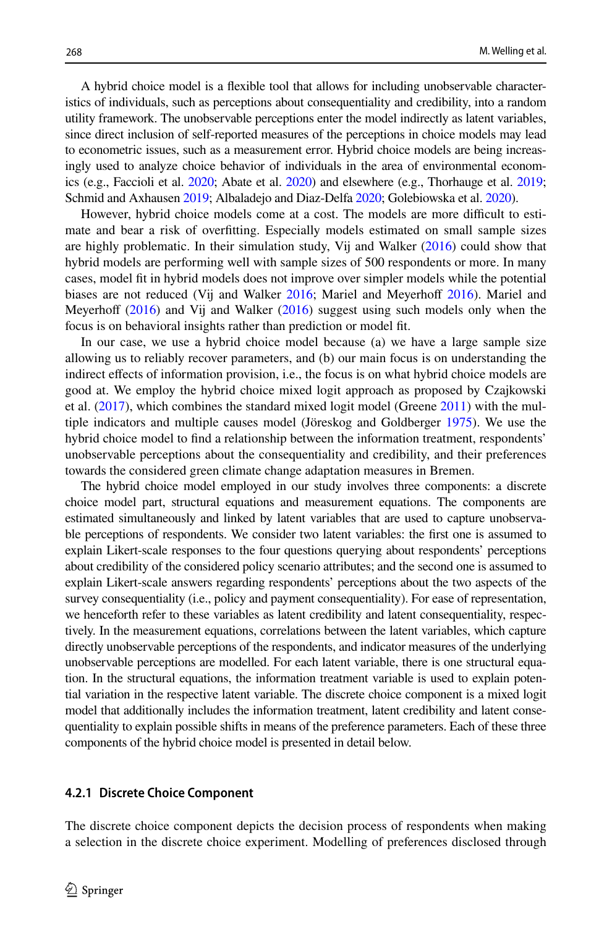A hybrid choice model is a fexible tool that allows for including unobservable characteristics of individuals, such as perceptions about consequentiality and credibility, into a random utility framework. The unobservable perceptions enter the model indirectly as latent variables, since direct inclusion of self-reported measures of the perceptions in choice models may lead to econometric issues, such as a measurement error. Hybrid choice models are being increasingly used to analyze choice behavior of individuals in the area of environmental economics (e.g., Faccioli et al. [2020;](#page-25-22) Abate et al. [2020\)](#page-24-12) and elsewhere (e.g., Thorhauge et al. [2019;](#page-26-12) Schmid and Axhausen [2019](#page-26-13); Albaladejo and Diaz-Delfa [2020;](#page-24-13) Golebiowska et al. [2020](#page-25-23)).

However, hybrid choice models come at a cost. The models are more difficult to estimate and bear a risk of overftting. Especially models estimated on small sample sizes are highly problematic. In their simulation study, Vij and Walker ([2016\)](#page-26-14) could show that hybrid models are performing well with sample sizes of 500 respondents or more. In many cases, model ft in hybrid models does not improve over simpler models while the potential biases are not reduced (Vij and Walker [2016;](#page-26-14) Mariel and Meyerhoff [2016](#page-25-24)). Mariel and Meyerhoff [\(2016](#page-25-24)) and Vij and Walker ([2016\)](#page-26-14) suggest using such models only when the focus is on behavioral insights rather than prediction or model ft.

In our case, we use a hybrid choice model because (a) we have a large sample size allowing us to reliably recover parameters, and (b) our main focus is on understanding the indirect efects of information provision, i.e., the focus is on what hybrid choice models are good at. We employ the hybrid choice mixed logit approach as proposed by Czajkowski et al.  $(2017)$  $(2017)$ , which combines the standard mixed logit model (Greene  $2011$ ) with the multiple indicators and multiple causes model (Jöreskog and Goldberger [1975](#page-25-25)). We use the hybrid choice model to fnd a relationship between the information treatment, respondents' unobservable perceptions about the consequentiality and credibility, and their preferences towards the considered green climate change adaptation measures in Bremen.

The hybrid choice model employed in our study involves three components: a discrete choice model part, structural equations and measurement equations. The components are estimated simultaneously and linked by latent variables that are used to capture unobservable perceptions of respondents. We consider two latent variables: the frst one is assumed to explain Likert-scale responses to the four questions querying about respondents' perceptions about credibility of the considered policy scenario attributes; and the second one is assumed to explain Likert-scale answers regarding respondents' perceptions about the two aspects of the survey consequentiality (i.e., policy and payment consequentiality). For ease of representation, we henceforth refer to these variables as latent credibility and latent consequentiality, respectively. In the measurement equations, correlations between the latent variables, which capture directly unobservable perceptions of the respondents, and indicator measures of the underlying unobservable perceptions are modelled. For each latent variable, there is one structural equation. In the structural equations, the information treatment variable is used to explain potential variation in the respective latent variable. The discrete choice component is a mixed logit model that additionally includes the information treatment, latent credibility and latent consequentiality to explain possible shifts in means of the preference parameters. Each of these three components of the hybrid choice model is presented in detail below.

#### **4.2.1 Discrete Choice Component**

The discrete choice component depicts the decision process of respondents when making a selection in the discrete choice experiment. Modelling of preferences disclosed through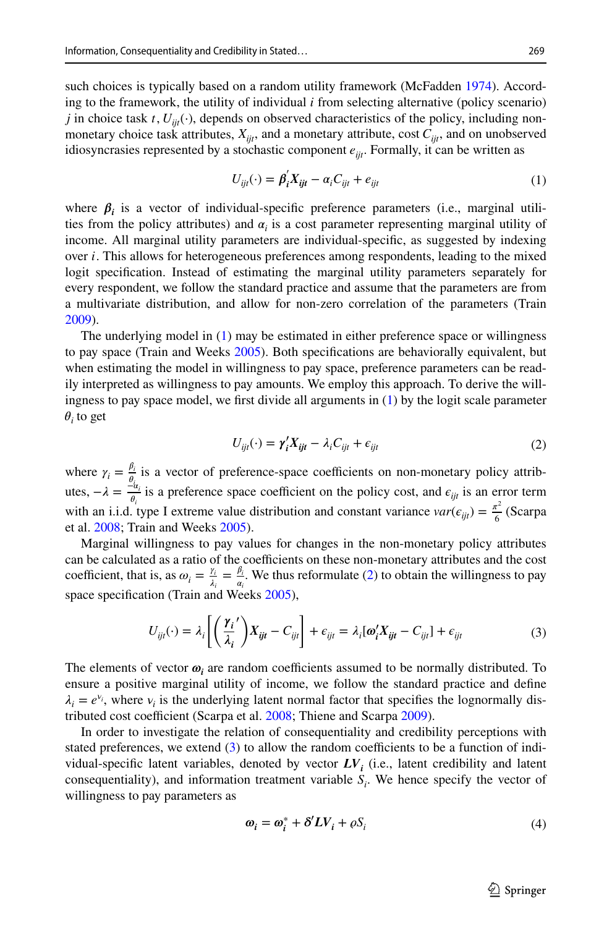such choices is typically based on a random utility framework (McFadden [1974](#page-25-26)). According to the framework, the utility of individual *i* from selecting alternative (policy scenario) *j* in choice task *t*,  $U_{ii}(\cdot)$ , depends on observed characteristics of the policy, including nonmonetary choice task attributes,  $X_{ijt}$ , and a monetary attribute, cost  $C_{ijt}$ , and on unobserved idiosyncrasies represented by a stochastic component  $e_{\text{iii}}$ . Formally, it can be written as

<span id="page-12-0"></span>
$$
U_{ijt}(\cdot) = \beta_i' X_{ijt} - \alpha_i C_{ijt} + e_{ijt}
$$
\n<sup>(1)</sup>

where  $\beta_i$  is a vector of individual-specific preference parameters (i.e., marginal utilities from the policy attributes) and  $\alpha_i$  is a cost parameter representing marginal utility of income. All marginal utility parameters are individual-specifc, as suggested by indexing over *i*. This allows for heterogeneous preferences among respondents, leading to the mixed logit specifcation. Instead of estimating the marginal utility parameters separately for every respondent, we follow the standard practice and assume that the parameters are from a multivariate distribution, and allow for non-zero correlation of the parameters (Train [2009\)](#page-26-15).

The underlying model in ([1](#page-12-0)) may be estimated in either preference space or willingness to pay space (Train and Weeks [2005](#page-26-16)). Both specifcations are behaviorally equivalent, but when estimating the model in willingness to pay space, preference parameters can be readily interpreted as willingness to pay amounts. We employ this approach. To derive the willingness to pay space model, we frst divide all arguments in ([1\)](#page-12-0) by the logit scale parameter  $\theta_i$  to get

<span id="page-12-1"></span>
$$
U_{ijt}(\cdot) = \gamma_i' X_{ijt} - \lambda_i C_{ijt} + \epsilon_{ijt}
$$
\n<sup>(2)</sup>

where  $\gamma_i = \frac{\beta_i}{\theta_i}$  is a vector of preference-space coefficients on non-monetary policy attributes,  $-\lambda = \frac{2\alpha_i}{\theta_i}$  is a preference space coefficient on the policy cost, and  $\epsilon_{ijt}$  is an error term with an i.i.d. type I extreme value distribution and constant variance  $var(\epsilon_{ijt}) = \frac{\pi^2}{6}$  (Scarpa et al. [2008;](#page-26-17) Train and Weeks [2005](#page-26-16)).

Marginal willingness to pay values for changes in the non-monetary policy attributes can be calculated as a ratio of the coefficients on these non-monetary attributes and the cost coefficient, that is, as  $\omega_i = \frac{\gamma_i}{\lambda_i} = \frac{\beta_i}{\alpha_i}$ . We thus reformulate ([2](#page-12-1)) to obtain the willingness to pay space specification (Train and Weeks [2005](#page-26-16)),

$$
U_{ijt}(\cdot) = \lambda_i \left[ \left( \frac{\gamma_i}{\lambda_i} \right) X_{ijt} - C_{ijt} \right] + \epsilon_{ijt} = \lambda_i [\omega_i' X_{ijt} - C_{ijt}] + \epsilon_{ijt}
$$
 (3)

The elements of vector  $\boldsymbol{\omega}_i$  are random coefficients assumed to be normally distributed. To ensure a positive marginal utility of income, we follow the standard practice and defne  $\lambda_i = e^{\nu_i}$ , where  $\nu_i$  is the underlying latent normal factor that specifies the lognormally dis-tributed cost coefficient (Scarpa et al. [2008;](#page-26-17) Thiene and Scarpa [2009](#page-26-18)).

In order to investigate the relation of consequentiality and credibility perceptions with stated preferences, we extend  $(3)$  $(3)$  $(3)$  to allow the random coefficients to be a function of individual-specific latent variables, denoted by vector  $LV<sub>i</sub>$  (i.e., latent credibility and latent consequentiality), and information treatment variable  $S_i$ . We hence specify the vector of willingness to pay parameters as

<span id="page-12-2"></span>
$$
\omega_i = \omega_i^* + \delta' LV_i + \rho S_i \tag{4}
$$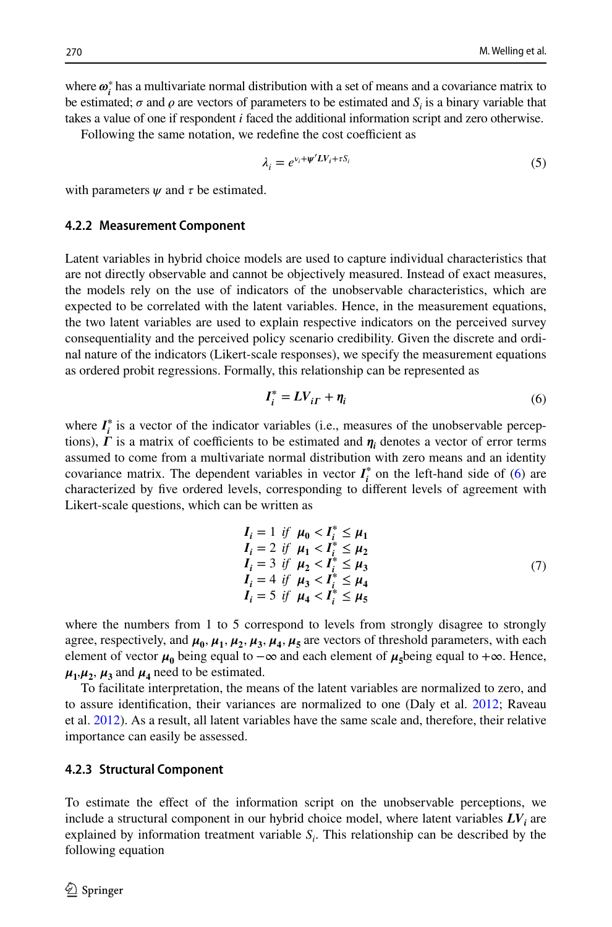where  $\boldsymbol{\omega}_i^*$  has a multivariate normal distribution with a set of means and a covariance matrix to be estimated;  $\sigma$  and  $\rho$  are vectors of parameters to be estimated and  $S_i$  is a binary variable that takes a value of one if respondent *i* faced the additional information script and zero otherwise.

Following the same notation, we redefine the cost coefficient as

$$
\lambda_i = e^{\nu_i + \psi' LV_i + \tau S_i} \tag{5}
$$

with parameters  $\psi$  and  $\tau$  be estimated.

#### **4.2.2 Measurement Component**

Latent variables in hybrid choice models are used to capture individual characteristics that are not directly observable and cannot be objectively measured. Instead of exact measures, the models rely on the use of indicators of the unobservable characteristics, which are expected to be correlated with the latent variables. Hence, in the measurement equations, the two latent variables are used to explain respective indicators on the perceived survey consequentiality and the perceived policy scenario credibility. Given the discrete and ordinal nature of the indicators (Likert-scale responses), we specify the measurement equations as ordered probit regressions. Formally, this relationship can be represented as

<span id="page-13-0"></span>
$$
I_i^* = LV_{i\Gamma} + \eta_i \tag{6}
$$

where  $I_i^*$  is a vector of the indicator variables (i.e., measures of the unobservable perceptions),  $\Gamma$  is a matrix of coefficients to be estimated and  $\eta_i$  denotes a vector of error terms assumed to come from a multivariate normal distribution with zero means and an identity covariance matrix. The dependent variables in vector  $I_i^*$  on the left-hand side of ([6](#page-13-0)) are characterized by fve ordered levels, corresponding to diferent levels of agreement with Likert-scale questions, which can be written as

$$
I_i = 1 \text{ if } \mu_0 < I_i^* \le \mu_1 I_i = 2 \text{ if } \mu_1 < I_i^* \le \mu_2 I_i = 3 \text{ if } \mu_2 < I_i^* \le \mu_3 I_i = 4 \text{ if } \mu_3 < I_i^* \le \mu_4 I_i = 5 \text{ if } \mu_4 < I_i^* \le \mu_5
$$
\n
$$
(7)
$$

where the numbers from 1 to 5 correspond to levels from strongly disagree to strongly agree, respectively, and  $\mu_0$ ,  $\mu_1$ ,  $\mu_2$ ,  $\mu_3$ ,  $\mu_4$ ,  $\mu_5$  are vectors of threshold parameters, with each element of vector  $\mu_0$  being equal to  $-\infty$  and each element of  $\mu_5$ being equal to  $+\infty$ . Hence,  $\mu_1, \mu_2, \mu_3$  and  $\mu_4$  need to be estimated.

To facilitate interpretation, the means of the latent variables are normalized to zero, and to assure identifcation, their variances are normalized to one (Daly et al. [2012](#page-24-14); Raveau et al. [2012](#page-25-27)). As a result, all latent variables have the same scale and, therefore, their relative importance can easily be assessed.

#### **4.2.3 Structural Component**

To estimate the efect of the information script on the unobservable perceptions, we include a structural component in our hybrid choice model, where latent variables  $LV<sub>i</sub>$  are explained by information treatment variable  $S_i$ . This relationship can be described by the following equation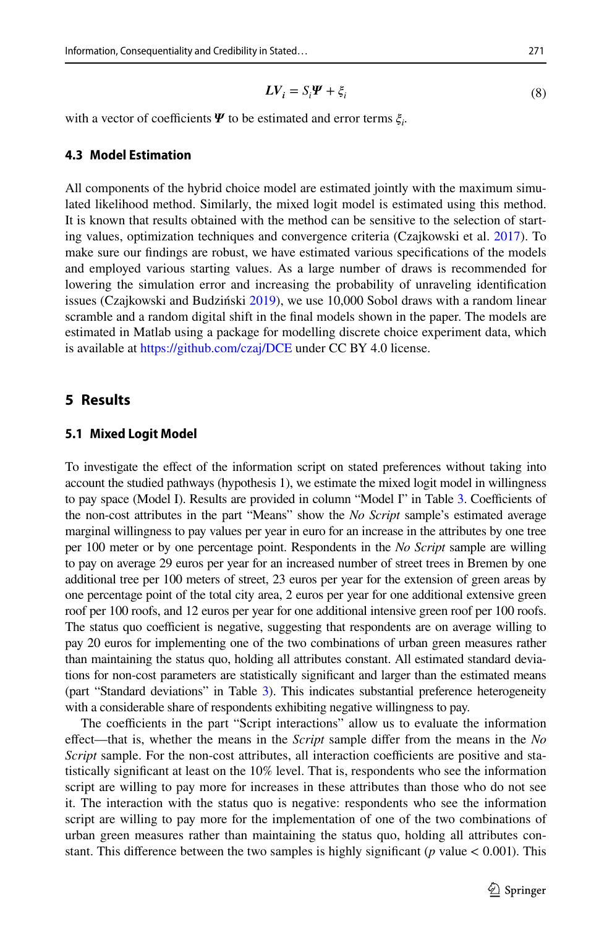$$
LV_i = S_i \Psi + \xi_i \tag{8}
$$

with a vector of coefficients  $\Psi$  to be estimated and error terms  $\xi_i$ .

### **4.3 Model Estimation**

All components of the hybrid choice model are estimated jointly with the maximum simulated likelihood method. Similarly, the mixed logit model is estimated using this method. It is known that results obtained with the method can be sensitive to the selection of starting values, optimization techniques and convergence criteria (Czajkowski et al. [2017\)](#page-24-4). To make sure our fndings are robust, we have estimated various specifcations of the models and employed various starting values. As a large number of draws is recommended for lowering the simulation error and increasing the probability of unraveling identifcation issues (Czajkowski and Budziński [2019](#page-24-15)), we use 10,000 Sobol draws with a random linear scramble and a random digital shift in the fnal models shown in the paper. The models are estimated in Matlab using a package for modelling discrete choice experiment data, which is available at <https://github.com/czaj/DCE>under CC BY 4.0 license.

## **5 Results**

#### **5.1 Mixed Logit Model**

To investigate the efect of the information script on stated preferences without taking into account the studied pathways (hypothesis 1), we estimate the mixed logit model in willingness to pay space (Model I). Results are provided in column "Model I" in Table [3](#page-16-0). Coefficients of the non-cost attributes in the part "Means" show the *No Script* sample's estimated average marginal willingness to pay values per year in euro for an increase in the attributes by one tree per 100 meter or by one percentage point. Respondents in the *No Script* sample are willing to pay on average 29 euros per year for an increased number of street trees in Bremen by one additional tree per 100 meters of street, 23 euros per year for the extension of green areas by one percentage point of the total city area, 2 euros per year for one additional extensive green roof per 100 roofs, and 12 euros per year for one additional intensive green roof per 100 roofs. The status quo coefficient is negative, suggesting that respondents are on average willing to pay 20 euros for implementing one of the two combinations of urban green measures rather than maintaining the status quo, holding all attributes constant. All estimated standard deviations for non-cost parameters are statistically signifcant and larger than the estimated means (part "Standard deviations" in Table [3](#page-16-0)). This indicates substantial preference heterogeneity with a considerable share of respondents exhibiting negative willingness to pay.

The coefficients in the part "Script interactions" allow us to evaluate the information efect—that is, whether the means in the *Script* sample difer from the means in the *No Script* sample. For the non-cost attributes, all interaction coefficients are positive and statistically signifcant at least on the 10% level. That is, respondents who see the information script are willing to pay more for increases in these attributes than those who do not see it. The interaction with the status quo is negative: respondents who see the information script are willing to pay more for the implementation of one of the two combinations of urban green measures rather than maintaining the status quo, holding all attributes constant. This diference between the two samples is highly signifcant (*p* value *<* 0.001). This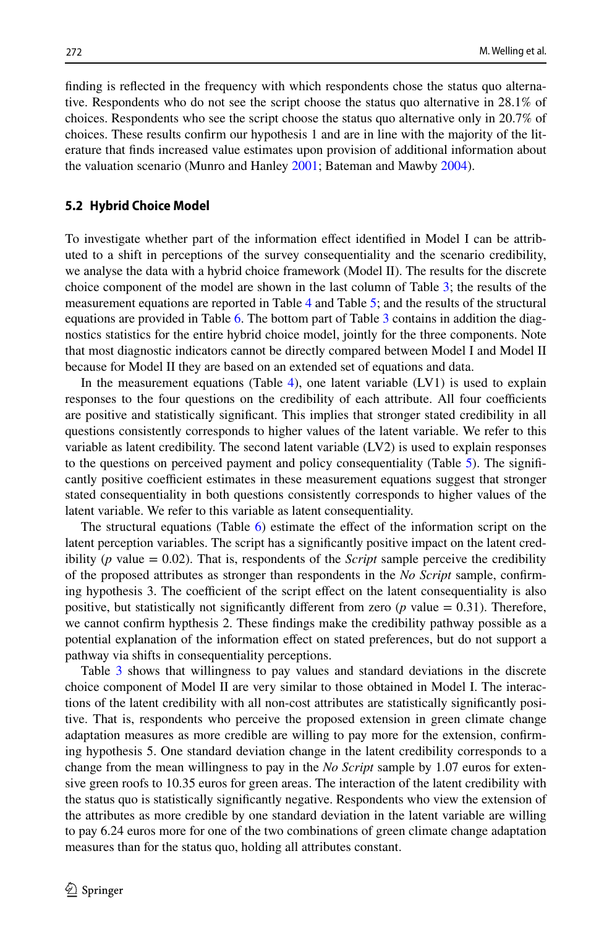fnding is refected in the frequency with which respondents chose the status quo alternative. Respondents who do not see the script choose the status quo alternative in 28.1% of choices. Respondents who see the script choose the status quo alternative only in 20.7% of choices. These results confrm our hypothesis 1 and are in line with the majority of the literature that fnds increased value estimates upon provision of additional information about the valuation scenario (Munro and Hanley [2001;](#page-25-0) Bateman and Mawby [2004\)](#page-24-5).

#### **5.2 Hybrid Choice Model**

To investigate whether part of the information efect identifed in Model I can be attributed to a shift in perceptions of the survey consequentiality and the scenario credibility, we analyse the data with a hybrid choice framework (Model II). The results for the discrete choice component of the model are shown in the last column of Table [3](#page-16-0); the results of the measurement equations are reported in Table [4](#page-17-0) and Table [5;](#page-17-1) and the results of the structural equations are provided in Table [6](#page-17-2). The bottom part of Table [3](#page-16-0) contains in addition the diagnostics statistics for the entire hybrid choice model, jointly for the three components. Note that most diagnostic indicators cannot be directly compared between Model I and Model II because for Model II they are based on an extended set of equations and data.

In the measurement equations (Table [4](#page-17-0)), one latent variable  $(LV1)$  is used to explain responses to the four questions on the credibility of each attribute. All four coefficients are positive and statistically signifcant. This implies that stronger stated credibility in all questions consistently corresponds to higher values of the latent variable. We refer to this variable as latent credibility. The second latent variable (LV2) is used to explain responses to the questions on perceived payment and policy consequentiality (Table [5](#page-17-1)). The signifcantly positive coefficient estimates in these measurement equations suggest that stronger stated consequentiality in both questions consistently corresponds to higher values of the latent variable. We refer to this variable as latent consequentiality.

The structural equations (Table [6\)](#page-17-2) estimate the effect of the information script on the latent perception variables. The script has a signifcantly positive impact on the latent credibility ( $p$  value = 0.02). That is, respondents of the *Script* sample perceive the credibility of the proposed attributes as stronger than respondents in the *No Script* sample, confrming hypothesis 3. The coefficient of the script effect on the latent consequentiality is also positive, but statistically not significantly different from zero  $(p \text{ value} = 0.31)$ . Therefore, we cannot confrm hypthesis 2. These fndings make the credibility pathway possible as a potential explanation of the information efect on stated preferences, but do not support a pathway via shifts in consequentiality perceptions.

Table [3](#page-16-0) shows that willingness to pay values and standard deviations in the discrete choice component of Model II are very similar to those obtained in Model I. The interactions of the latent credibility with all non-cost attributes are statistically signifcantly positive. That is, respondents who perceive the proposed extension in green climate change adaptation measures as more credible are willing to pay more for the extension, confrming hypothesis 5. One standard deviation change in the latent credibility corresponds to a change from the mean willingness to pay in the *No Script* sample by 1.07 euros for extensive green roofs to 10.35 euros for green areas. The interaction of the latent credibility with the status quo is statistically signifcantly negative. Respondents who view the extension of the attributes as more credible by one standard deviation in the latent variable are willing to pay 6.24 euros more for one of the two combinations of green climate change adaptation measures than for the status quo, holding all attributes constant.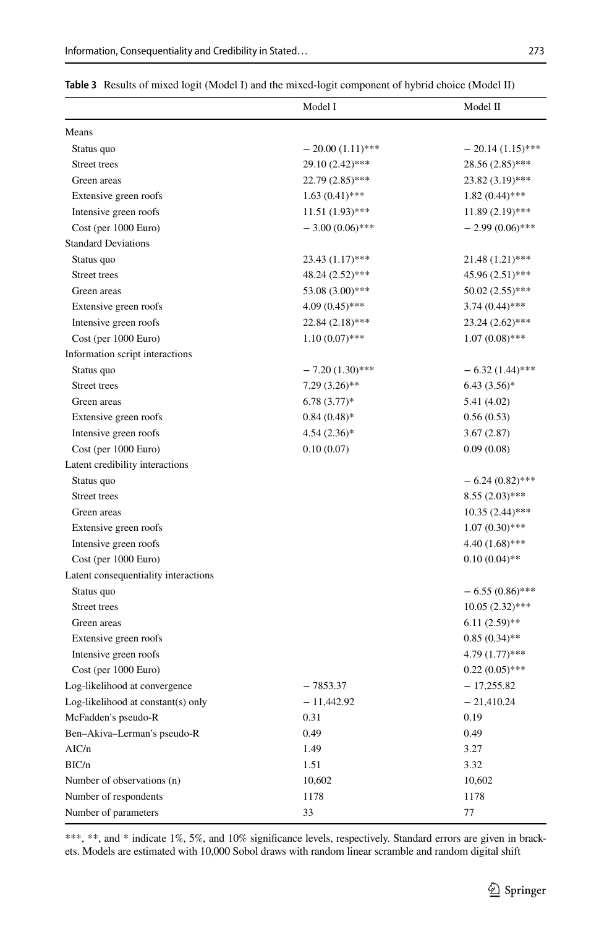|                                      | Model I            | Model II           |
|--------------------------------------|--------------------|--------------------|
| Means                                |                    |                    |
| Status quo                           | $-20.00(1.11)$ *** | $-20.14(1.15)$ *** |
| Street trees                         | 29.10 (2.42)***    | 28.56 (2.85)***    |
| Green areas                          | 22.79 (2.85)***    | 23.82 (3.19)***    |
| Extensive green roofs                | $1.63(0.41)$ ***   | $1.82(0.44)$ ***   |
| Intensive green roofs                | $11.51(1.93)$ ***  | $11.89(2.19)$ ***  |
| Cost (per 1000 Euro)                 | $-3.00(0.06)$ ***  | $-2.99(0.06)$ ***  |
| <b>Standard Deviations</b>           |                    |                    |
| Status quo                           | 23.43 (1.17)***    | 21.48 (1.21)***    |
| Street trees                         | 48.24 (2.52)***    | 45.96 (2.51)***    |
| Green areas                          | 53.08 (3.00)***    | $50.02(2.55)$ ***  |
| Extensive green roofs                | $4.09(0.45)$ ***   | $3.74(0.44)$ ***   |
| Intensive green roofs                | $22.84(2.18)$ ***  | 23.24 (2.62)***    |
| Cost (per 1000 Euro)                 | $1.10(0.07)$ ***   | $1.07(0.08)$ ***   |
| Information script interactions      |                    |                    |
| Status quo                           | $-7.20(1.30)$ ***  | $-6.32(1.44)$ ***  |
| Street trees                         | $7.29(3.26)$ **    | $6.43(3.56)*$      |
| Green areas                          | $6.78(3.77)$ *     | 5.41 (4.02)        |
| Extensive green roofs                | $0.84(0.48)$ *     | 0.56(0.53)         |
| Intensive green roofs                | $4.54(2.36)*$      | 3.67(2.87)         |
| Cost (per 1000 Euro)                 | 0.10(0.07)         | 0.09(0.08)         |
| Latent credibility interactions      |                    |                    |
| Status quo                           |                    | $-6.24(0.82)$ ***  |
| Street trees                         |                    | $8.55(2.03)$ ***   |
| Green areas                          |                    | 10.35 (2.44)***    |
| Extensive green roofs                |                    | $1.07(0.30)$ ***   |
| Intensive green roofs                |                    | $4.40(1.68)$ ***   |
| Cost (per 1000 Euro)                 |                    | $0.10(0.04)$ **    |
| Latent consequentiality interactions |                    |                    |
| Status quo                           |                    | $-6.55(0.86)$ ***  |
| Street trees                         |                    | $10.05(2.32)$ ***  |
| Green areas                          |                    | $6.11(2.59)$ **    |
| Extensive green roofs                |                    | $0.85(0.34)$ **    |
| Intensive green roofs                |                    | $4.79(1.77)$ ***   |
| Cost (per 1000 Euro)                 |                    | $0.22(0.05)$ ***   |
| Log-likelihood at convergence        | $-7853.37$         | $-17,255.82$       |
| Log-likelihood at constant(s) only   | $-11,442.92$       | $-21,410.24$       |
| McFadden's pseudo-R                  | 0.31               | 0.19               |
| Ben-Akiva-Lerman's pseudo-R          | 0.49               | 0.49               |
| AIC/n                                | 1.49               | 3.27               |
| BIC/n                                | 1.51               | 3.32               |
| Number of observations (n)           | 10,602             | 10,602             |
| Number of respondents                | 1178               | 1178               |
| Number of parameters                 | 33                 | 77                 |
|                                      |                    |                    |

<span id="page-16-0"></span>

|  |  |  | Table 3 Results of mixed logit (Model I) and the mixed-logit component of hybrid choice (Model II) |  |  |  |
|--|--|--|----------------------------------------------------------------------------------------------------|--|--|--|
|--|--|--|----------------------------------------------------------------------------------------------------|--|--|--|

\*\*\*, \*\*, and \* indicate 1%, 5%, and 10% significance levels, respectively. Standard errors are given in brackets. Models are estimated with 10,000 Sobol draws with random linear scramble and random digital shift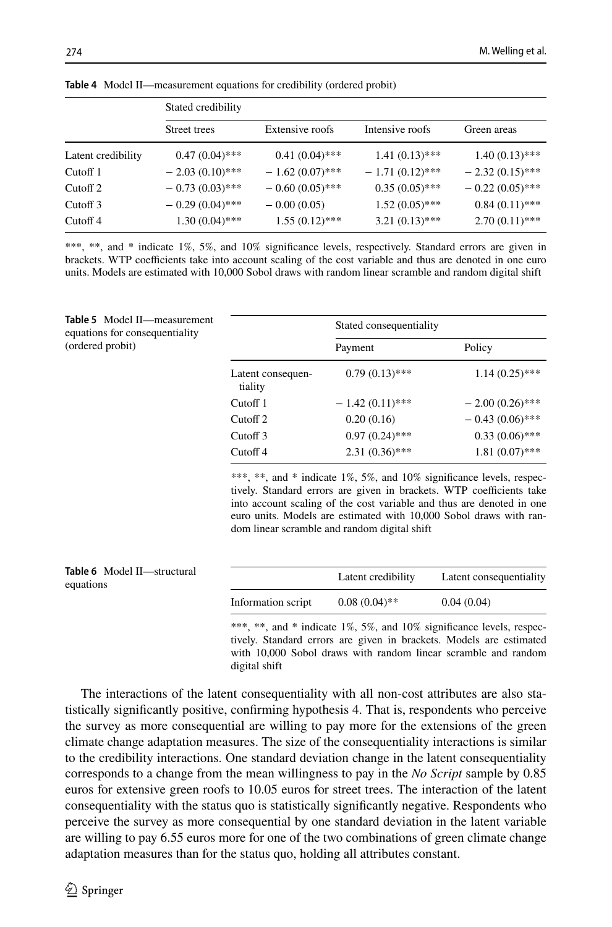|                     | Stated credibility |                   |                   |                   |
|---------------------|--------------------|-------------------|-------------------|-------------------|
|                     | Street trees       | Extensive roofs   | Intensive roofs   | Green areas       |
| Latent credibility  | $0.47(0.04)$ ***   | $0.41(0.04)$ ***  | $1.41(0.13)$ ***  | $1.40(0.13)$ ***  |
| Cutoff 1            | $-2.03(0.10)$ ***  | $-1.62(0.07)$ *** | $-1.71(0.12)$ *** | $-2.32(0.15)$ *** |
| Cutoff <sub>2</sub> | $-0.73(0.03)$ ***  | $-0.60(0.05)$ *** | $0.35(0.05)$ ***  | $-0.22(0.05)$ *** |
| Cutoff 3            | $-0.29(0.04)$ ***  | $-0.00(0.05)$     | $1.52(0.05)$ ***  | $0.84(0.11)$ ***  |
| Cutoff <sub>4</sub> | $1.30(0.04)$ ***   | $1.55(0.12)$ ***  | $3.21(0.13)$ ***  | $2.70(0.11)$ ***  |

<span id="page-17-0"></span>**Table 4** Model II—measurement equations for credibility (ordered probit)

\*\*\*, \*\*, and \* indicate 1%, 5%, and 10% significance levels, respectively. Standard errors are given in brackets. WTP coefficients take into account scaling of the cost variable and thus are denoted in one euro units. Models are estimated with 10,000 Sobol draws with random linear scramble and random digital shift

<span id="page-17-1"></span>

| Table 5 Model II-measurement<br>equations for consequentiality |                              | Stated consequentiality |                   |
|----------------------------------------------------------------|------------------------------|-------------------------|-------------------|
| (ordered probit)                                               |                              | Payment                 | Policy            |
|                                                                | Latent consequen-<br>tiality | $0.79(0.13)$ ***        | $1.14(0.25)$ ***  |
|                                                                | Cutoff 1                     | $-1.42(0.11)$ ***       | $-2.00(0.26)$ *** |
|                                                                | Cutoff <sub>2</sub>          | 0.20(0.16)              | $-0.43(0.06)$ *** |
|                                                                | Cutoff 3                     | $0.97(0.24)$ ***        | $0.33(0.06)$ ***  |
|                                                                | Cutoff <sub>4</sub>          | $2.31(0.36)$ ***        | $1.81(0.07)$ ***  |

\*\*\*, \*\*, and \* indicate 1%, 5%, and 10% significance levels, respectively. Standard errors are given in brackets. WTP coefficients take into account scaling of the cost variable and thus are denoted in one euro units. Models are estimated with 10,000 Sobol draws with random linear scramble and random digital shift

<span id="page-17-2"></span>

| <b>Table 6</b> Model II-structural<br>equations |                    | Latent credibility | Latent consequentiality |
|-------------------------------------------------|--------------------|--------------------|-------------------------|
|                                                 | Information script | $0.08(0.04)$ **    | 0.04(0.04)              |
|                                                 |                    |                    |                         |

\*\*\*, \*\*, and \* indicate 1%, 5%, and 10% significance levels, respectively. Standard errors are given in brackets. Models are estimated with 10,000 Sobol draws with random linear scramble and random digital shift

The interactions of the latent consequentiality with all non-cost attributes are also statistically signifcantly positive, confrming hypothesis 4. That is, respondents who perceive the survey as more consequential are willing to pay more for the extensions of the green climate change adaptation measures. The size of the consequentiality interactions is similar to the credibility interactions. One standard deviation change in the latent consequentiality corresponds to a change from the mean willingness to pay in the *No Script* sample by 0.85 euros for extensive green roofs to 10.05 euros for street trees. The interaction of the latent consequentiality with the status quo is statistically signifcantly negative. Respondents who perceive the survey as more consequential by one standard deviation in the latent variable are willing to pay 6.55 euros more for one of the two combinations of green climate change adaptation measures than for the status quo, holding all attributes constant.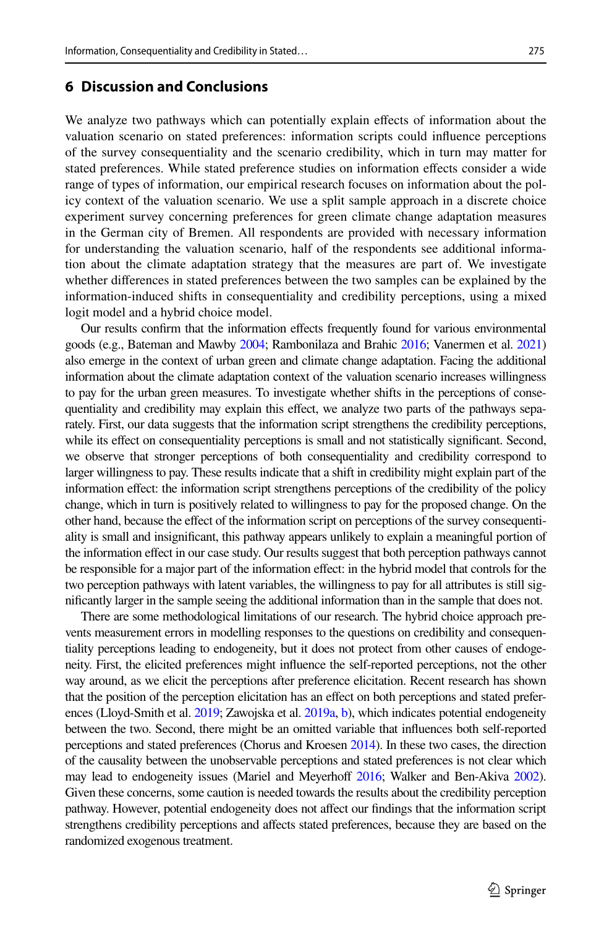## **6 Discussion and Conclusions**

We analyze two pathways which can potentially explain efects of information about the valuation scenario on stated preferences: information scripts could infuence perceptions of the survey consequentiality and the scenario credibility, which in turn may matter for stated preferences. While stated preference studies on information efects consider a wide range of types of information, our empirical research focuses on information about the policy context of the valuation scenario. We use a split sample approach in a discrete choice experiment survey concerning preferences for green climate change adaptation measures in the German city of Bremen. All respondents are provided with necessary information for understanding the valuation scenario, half of the respondents see additional information about the climate adaptation strategy that the measures are part of. We investigate whether diferences in stated preferences between the two samples can be explained by the information-induced shifts in consequentiality and credibility perceptions, using a mixed logit model and a hybrid choice model.

Our results confrm that the information efects frequently found for various environmental goods (e.g., Bateman and Mawby [2004](#page-24-5); Rambonilaza and Brahic [2016](#page-25-6); Vanermen et al. [2021](#page-26-2)) also emerge in the context of urban green and climate change adaptation. Facing the additional information about the climate adaptation context of the valuation scenario increases willingness to pay for the urban green measures. To investigate whether shifts in the perceptions of consequentiality and credibility may explain this efect, we analyze two parts of the pathways separately. First, our data suggests that the information script strengthens the credibility perceptions, while its effect on consequentiality perceptions is small and not statistically significant. Second, we observe that stronger perceptions of both consequentiality and credibility correspond to larger willingness to pay. These results indicate that a shift in credibility might explain part of the information efect: the information script strengthens perceptions of the credibility of the policy change, which in turn is positively related to willingness to pay for the proposed change. On the other hand, because the efect of the information script on perceptions of the survey consequentiality is small and insignifcant, this pathway appears unlikely to explain a meaningful portion of the information efect in our case study. Our results suggest that both perception pathways cannot be responsible for a major part of the information efect: in the hybrid model that controls for the two perception pathways with latent variables, the willingness to pay for all attributes is still signifcantly larger in the sample seeing the additional information than in the sample that does not.

There are some methodological limitations of our research. The hybrid choice approach prevents measurement errors in modelling responses to the questions on credibility and consequentiality perceptions leading to endogeneity, but it does not protect from other causes of endogeneity. First, the elicited preferences might infuence the self-reported perceptions, not the other way around, as we elicit the perceptions after preference elicitation. Recent research has shown that the position of the perception elicitation has an efect on both perceptions and stated prefer-ences (Lloyd-Smith et al. [2019;](#page-25-5) Zawojska et al. [2019a,](#page-26-10) [b\)](#page-26-11), which indicates potential endogeneity between the two. Second, there might be an omitted variable that infuences both self-reported perceptions and stated preferences (Chorus and Kroesen [2014\)](#page-24-16). In these two cases, the direction of the causality between the unobservable perceptions and stated preferences is not clear which may lead to endogeneity issues (Mariel and Meyerhoff [2016](#page-25-24); Walker and Ben-Akiva [2002](#page-26-19)). Given these concerns, some caution is needed towards the results about the credibility perception pathway. However, potential endogeneity does not afect our fndings that the information script strengthens credibility perceptions and afects stated preferences, because they are based on the randomized exogenous treatment.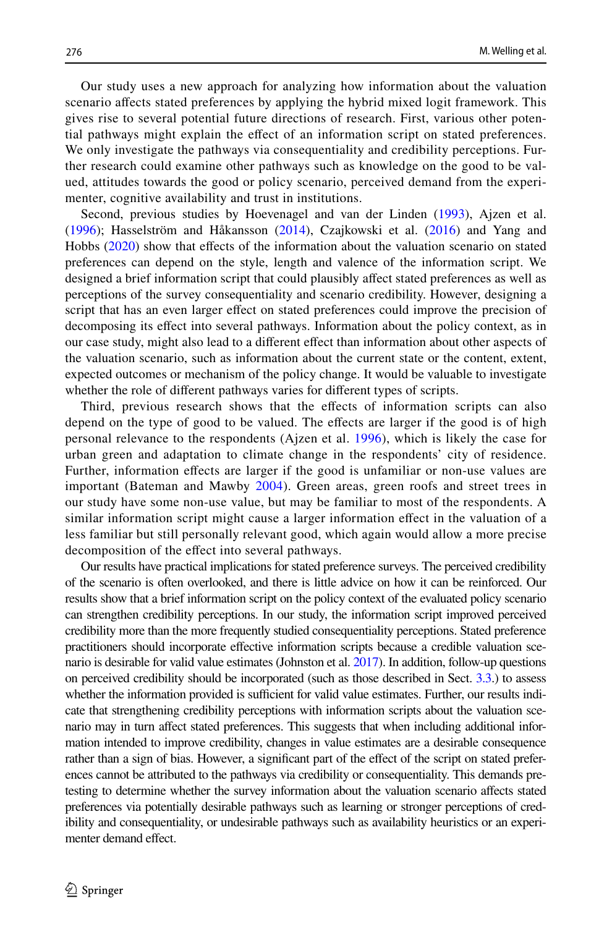Our study uses a new approach for analyzing how information about the valuation scenario afects stated preferences by applying the hybrid mixed logit framework. This gives rise to several potential future directions of research. First, various other potential pathways might explain the efect of an information script on stated preferences. We only investigate the pathways via consequentiality and credibility perceptions. Further research could examine other pathways such as knowledge on the good to be valued, attitudes towards the good or policy scenario, perceived demand from the experimenter, cognitive availability and trust in institutions.

Second, previous studies by Hoevenagel and van der Linden ([1993\)](#page-25-2), Ajzen et al. ([1996](#page-24-7)); Hasselström and Håkansson ([2014\)](#page-25-10), Czajkowski et al. [\(2016\)](#page-24-1) and Yang and Hobbs ([2020](#page-26-3)) show that efects of the information about the valuation scenario on stated preferences can depend on the style, length and valence of the information script. We designed a brief information script that could plausibly afect stated preferences as well as perceptions of the survey consequentiality and scenario credibility. However, designing a script that has an even larger efect on stated preferences could improve the precision of decomposing its efect into several pathways. Information about the policy context, as in our case study, might also lead to a diferent efect than information about other aspects of the valuation scenario, such as information about the current state or the content, extent, expected outcomes or mechanism of the policy change. It would be valuable to investigate whether the role of diferent pathways varies for diferent types of scripts.

Third, previous research shows that the efects of information scripts can also depend on the type of good to be valued. The efects are larger if the good is of high personal relevance to the respondents (Ajzen et al. [1996](#page-24-7)), which is likely the case for urban green and adaptation to climate change in the respondents' city of residence. Further, information efects are larger if the good is unfamiliar or non-use values are important (Bateman and Mawby [2004](#page-24-5)). Green areas, green roofs and street trees in our study have some non-use value, but may be familiar to most of the respondents. A similar information script might cause a larger information efect in the valuation of a less familiar but still personally relevant good, which again would allow a more precise decomposition of the efect into several pathways.

Our results have practical implications for stated preference surveys. The perceived credibility of the scenario is often overlooked, and there is little advice on how it can be reinforced. Our results show that a brief information script on the policy context of the evaluated policy scenario can strengthen credibility perceptions. In our study, the information script improved perceived credibility more than the more frequently studied consequentiality perceptions. Stated preference practitioners should incorporate efective information scripts because a credible valuation scenario is desirable for valid value estimates (Johnston et al. [2017\)](#page-25-1). In addition, follow-up questions on perceived credibility should be incorporated (such as those described in Sect. [3.3](#page-7-1).) to assess whether the information provided is sufficient for valid value estimates. Further, our results indicate that strengthening credibility perceptions with information scripts about the valuation scenario may in turn afect stated preferences. This suggests that when including additional information intended to improve credibility, changes in value estimates are a desirable consequence rather than a sign of bias. However, a significant part of the effect of the script on stated preferences cannot be attributed to the pathways via credibility or consequentiality. This demands pretesting to determine whether the survey information about the valuation scenario afects stated preferences via potentially desirable pathways such as learning or stronger perceptions of credibility and consequentiality, or undesirable pathways such as availability heuristics or an experimenter demand effect.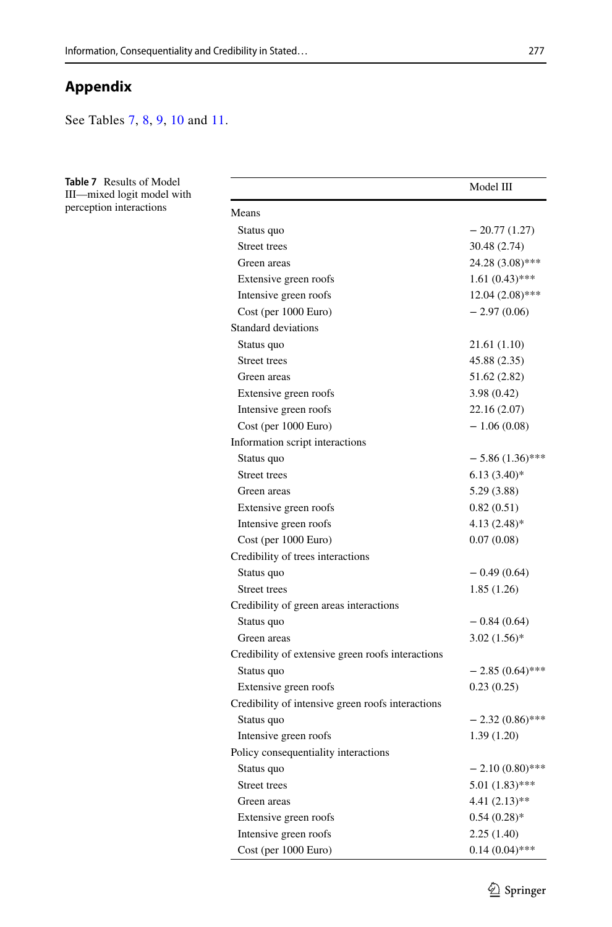# **Appendix**

See Tables [7](#page-20-0), [8](#page-22-0), [9](#page-23-0), [10](#page-23-1) and [11.](#page-23-2)

<span id="page-20-0"></span>

| Table 7 Results of Model<br>III—mixed logit model with |                                                   | Model III           |
|--------------------------------------------------------|---------------------------------------------------|---------------------|
| perception interactions                                | Means                                             |                     |
|                                                        | Status quo                                        | $-20.77(1.27)$      |
|                                                        | Street trees                                      | 30.48 (2.74)        |
|                                                        | Green areas                                       | 24.28 (3.08)***     |
|                                                        | Extensive green roofs                             | $1.61(0.43)$ ***    |
|                                                        | Intensive green roofs                             | $12.04(2.08)$ ***   |
|                                                        | Cost (per 1000 Euro)                              | $-2.97(0.06)$       |
|                                                        | Standard deviations                               |                     |
|                                                        | Status quo                                        | 21.61 (1.10)        |
|                                                        | Street trees                                      | 45.88 (2.35)        |
|                                                        | Green areas                                       | 51.62 (2.82)        |
|                                                        | Extensive green roofs                             | 3.98(0.42)          |
|                                                        | Intensive green roofs                             | 22.16 (2.07)        |
|                                                        | Cost (per 1000 Euro)                              | $-1.06(0.08)$       |
|                                                        |                                                   |                     |
|                                                        | Information script interactions                   | $-5.86(1.36)$ ***   |
|                                                        | Status quo                                        |                     |
|                                                        | Street trees                                      | $6.13(3.40)$ *      |
|                                                        | Green areas                                       | 5.29 (3.88)         |
|                                                        | Extensive green roofs                             | 0.82(0.51)          |
|                                                        | Intensive green roofs                             | $4.13(2.48)$ *      |
|                                                        | Cost (per 1000 Euro)                              | 0.07(0.08)          |
|                                                        | Credibility of trees interactions                 |                     |
|                                                        | Status quo                                        | $-0.49(0.64)$       |
|                                                        | Street trees                                      | 1.85(1.26)          |
|                                                        | Credibility of green areas interactions           |                     |
|                                                        | Status quo                                        | $-0.84(0.64)$       |
|                                                        | Green areas                                       | $3.02(1.56)$ *      |
|                                                        | Credibility of extensive green roofs interactions |                     |
|                                                        | Status quo                                        | $-2.85(0.64)$ ***   |
|                                                        | Extensive green roofs                             | 0.23(0.25)          |
|                                                        | Credibility of intensive green roofs interactions |                     |
|                                                        | Status quo                                        | $-2.32(0.86)$ ***   |
|                                                        | Intensive green roofs                             | 1.39(1.20)          |
|                                                        | Policy consequentiality interactions              |                     |
|                                                        | Status quo                                        | $- 2.10 (0.80)$ *** |
|                                                        | Street trees                                      | $5.01(1.83)$ ***    |
|                                                        | Green areas                                       | $4.41(2.13)$ **     |
|                                                        | Extensive green roofs                             | $0.54(0.28)$ *      |
|                                                        | Intensive green roofs                             | 2.25(1.40)          |
|                                                        | Cost (per 1000 Euro)                              | $0.14(0.04)$ ***    |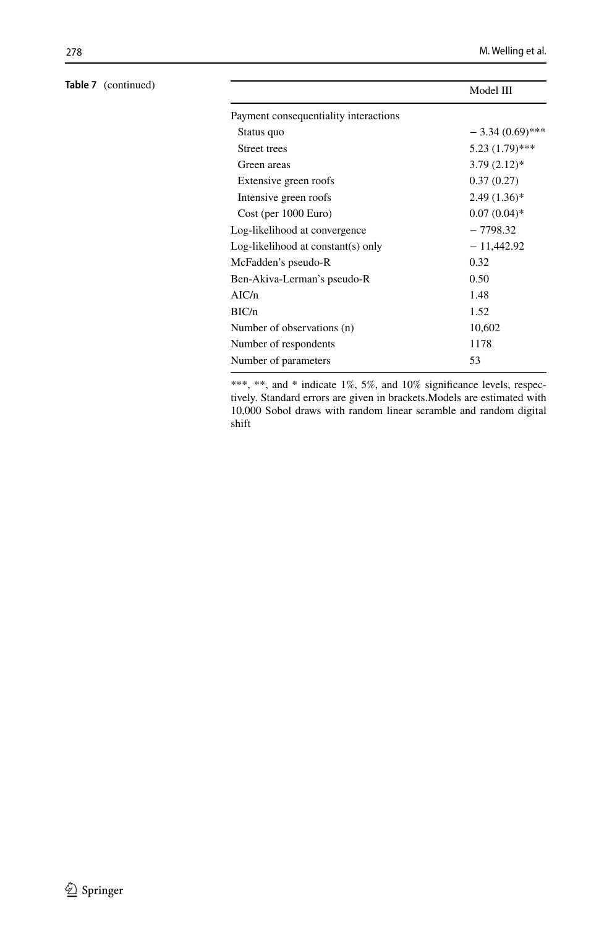|                                       | Model III         |
|---------------------------------------|-------------------|
| Payment consequentiality interactions |                   |
| Status quo                            | $-3.34(0.69)$ *** |
| <b>Street trees</b>                   | $5.23(1.79)$ ***  |
| Green areas                           | $3.79(2.12)$ *    |
| Extensive green roofs                 | 0.37(0.27)        |
| Intensive green roofs                 | $2.49(1.36)$ *    |
| Cost (per 1000 Euro)                  | $0.07(0.04)$ *    |
| Log-likelihood at convergence         | $-7798.32$        |
| $Log-likelihood$ at constant(s) only  | $-11,442.92$      |
| McFadden's pseudo-R                   | 0.32              |
| Ben-Akiva-Lerman's pseudo-R           | 0.50              |
| AIC/n                                 | 1.48              |
| BIC/n                                 | 1.52              |
| Number of observations (n)            | 10,602            |
| Number of respondents                 | 1178              |
| Number of parameters                  | 53                |

\*\*\*, \*\*, and \* indicate 1%, 5%, and 10% significance levels, respectively. Standard errors are given in brackets.Models are estimated with 10,000 Sobol draws with random linear scramble and random digital shift

## **Table 7** (continued)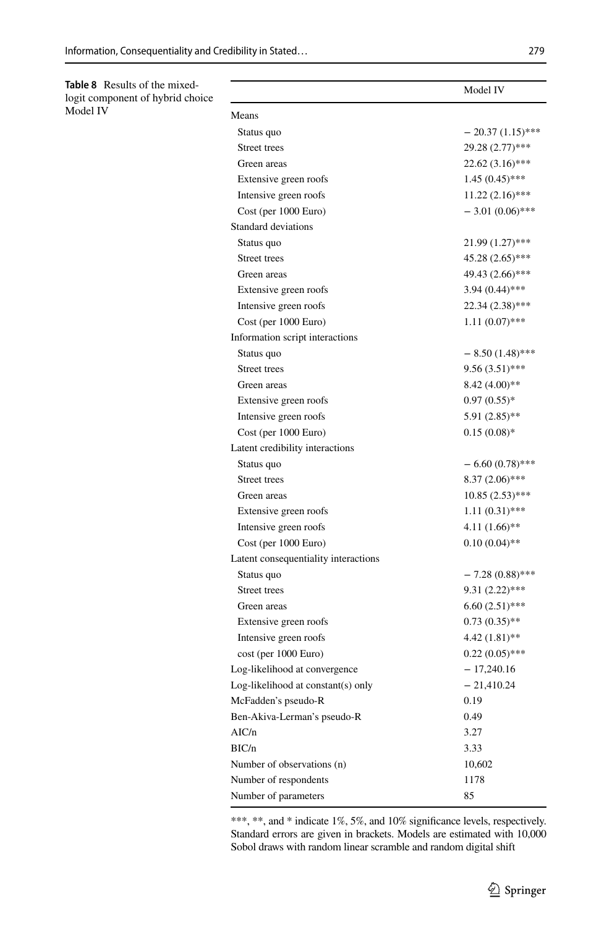<span id="page-22-0"></span>**Table 8** Results of the mixedlogit component of hybrid choice Model IV

|                                      | Model IV           |
|--------------------------------------|--------------------|
| Means                                |                    |
| Status quo                           | $-20.37(1.15)$ *** |
| Street trees                         | 29.28 (2.77)***    |
| Green areas                          | 22.62 (3.16)***    |
| Extensive green roofs                | $1.45(0.45)$ ***   |
| Intensive green roofs                | $11.22(2.16)$ ***  |
| Cost (per 1000 Euro)                 | $-3.01(0.06)$ ***  |
| Standard deviations                  |                    |
| Status quo                           | 21.99 (1.27)***    |
| Street trees                         | 45.28 (2.65)***    |
| Green areas                          | 49.43 (2.66)***    |
| Extensive green roofs                | $3.94(0.44)$ ***   |
| Intensive green roofs                | 22.34 (2.38)***    |
| Cost (per 1000 Euro)                 | $1.11(0.07)$ ***   |
| Information script interactions      |                    |
| Status quo                           | $-8.50(1.48)$ ***  |
| Street trees                         | $9.56(3.51)$ ***   |
| Green areas                          | $8.42(4.00)$ **    |
| Extensive green roofs                | $0.97(0.55)*$      |
| Intensive green roofs                | $5.91(2.85)$ **    |
| Cost (per 1000 Euro)                 | $0.15(0.08)*$      |
| Latent credibility interactions      |                    |
| Status quo                           | $-6.60(0.78)$ ***  |
| Street trees                         | 8.37 (2.06)***     |
| Green areas                          | 10.85 (2.53)***    |
| Extensive green roofs                | $1.11(0.31)$ ***   |
| Intensive green roofs                | $4.11(1.66)$ **    |
| Cost (per 1000 Euro)                 | $0.10(0.04)$ **    |
| Latent consequentiality interactions |                    |
| Status quo                           | $-7.28(0.88)$ ***  |
| Street trees                         | $9.31(2.22)$ ***   |
| Green areas                          | $6.60(2.51)$ ***   |
| Extensive green roofs                | $0.73(0.35)$ **    |
| Intensive green roofs                | 4.42 (1.81)**      |
| $cost$ (per $1000 Euro$ )            | $0.22(0.05)$ ***   |
| Log-likelihood at convergence        | $-17,240.16$       |
| Log-likelihood at constant(s) only   | $-21,410.24$       |
| McFadden's pseudo-R                  | 0.19               |
| Ben-Akiva-Lerman's pseudo-R          | 0.49               |
| AIC/n                                | 3.27               |
| BIC/n                                | 3.33               |
| Number of observations (n)           | 10,602             |
| Number of respondents                | 1178               |
| Number of parameters                 | 85                 |

\*\*\*, \*\*, and \* indicate 1%, 5%, and 10% significance levels, respectively. Standard errors are given in brackets. Models are estimated with 10,000 Sobol draws with random linear scramble and random digital shift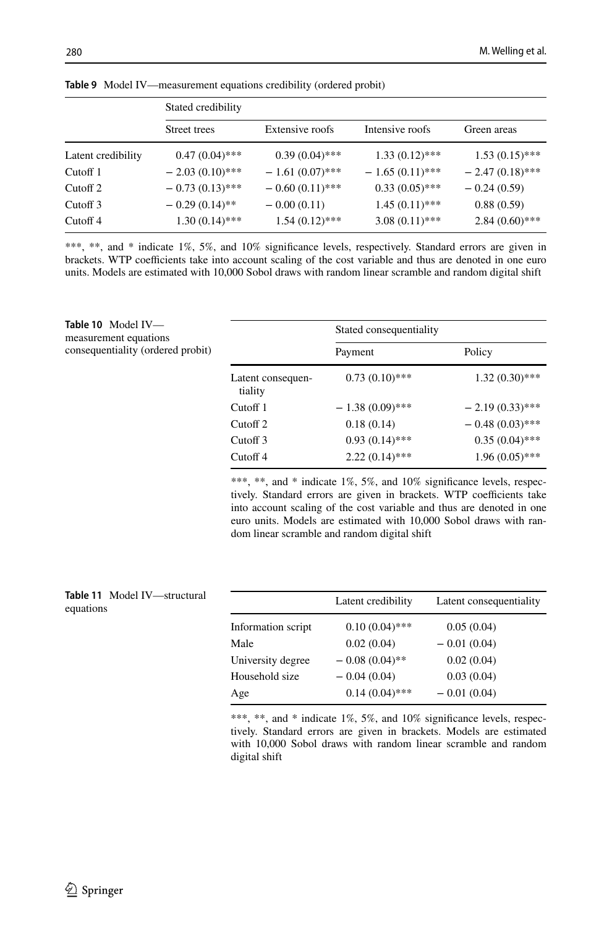|                     | Stated credibility |                   |                   |                   |
|---------------------|--------------------|-------------------|-------------------|-------------------|
|                     | Street trees       | Extensive roofs   | Intensive roofs   | Green areas       |
| Latent credibility  | $0.47(0.04)$ ***   | $0.39(0.04)$ ***  | $1.33(0.12)$ ***  | $1.53(0.15)$ ***  |
| Cutoff $1$          | $-2.03(0.10)$ ***  | $-1.61(0.07)$ *** | $-1.65(0.11)$ *** | $-2.47(0.18)$ *** |
| Cutoff <sub>2</sub> | $-0.73(0.13)$ ***  | $-0.60(0.11)$ *** | $0.33(0.05)$ ***  | $-0.24(0.59)$     |
| Cutoff 3            | $-0.29(0.14)$ **   | $-0.00(0.11)$     | $1.45(0.11)$ ***  | 0.88(0.59)        |
| Cutoff 4            | $1.30(0.14)$ ***   | $1.54(0.12)$ ***  | $3.08(0.11)$ ***  | $2.84(0.60)$ ***  |

<span id="page-23-0"></span>**Table 9** Model IV—measurement equations credibility (ordered probit)

\*\*\*, \*\*, and \* indicate 1%, 5%, and 10% significance levels, respectively. Standard errors are given in brackets. WTP coefficients take into account scaling of the cost variable and thus are denoted in one euro units. Models are estimated with 10,000 Sobol draws with random linear scramble and random digital shift

<span id="page-23-1"></span>

| Table 10 Model IV-<br>measurement equations |                              | Stated consequentiality |                   |
|---------------------------------------------|------------------------------|-------------------------|-------------------|
| consequentiality (ordered probit)           |                              | Payment                 | Policy            |
|                                             | Latent consequen-<br>tiality | $0.73(0.10)$ ***        | $1.32(0.30)$ ***  |
|                                             | Cutoff 1                     | $-1.38(0.09)$ ***       | $-2.19(0.33)$ *** |
|                                             | Cutoff <sub>2</sub>          | 0.18(0.14)              | $-0.48(0.03)$ *** |
|                                             | Cutoff 3                     | $0.93(0.14)$ ***        | $0.35(0.04)$ ***  |
|                                             | Cutoff <sub>4</sub>          | $2.22(0.14)$ ***        | $1.96(0.05)$ ***  |

\*\*\*, \*\*, and \* indicate 1%, 5%, and 10% signifcance levels, respectively. Standard errors are given in brackets. WTP coefficients take into account scaling of the cost variable and thus are denoted in one euro units. Models are estimated with 10,000 Sobol draws with random linear scramble and random digital shift

<span id="page-23-2"></span>

| Table 11 Model IV-structural<br>equations |                    | Latent credibility | Latent consequentiality |
|-------------------------------------------|--------------------|--------------------|-------------------------|
|                                           | Information script | $0.10(0.04)$ ***   | 0.05(0.04)              |
|                                           | Male               | 0.02(0.04)         | $-0.01(0.04)$           |
|                                           | University degree  | $-0.08(0.04)$ **   | 0.02(0.04)              |
|                                           | Household size     | $-0.04(0.04)$      | 0.03(0.04)              |
|                                           | Age                | $0.14(0.04)$ ***   | $-0.01(0.04)$           |
|                                           |                    |                    |                         |

\*\*\*, \*\*, and \* indicate 1%, 5%, and 10% significance levels, respectively. Standard errors are given in brackets. Models are estimated with 10,000 Sobol draws with random linear scramble and random digital shift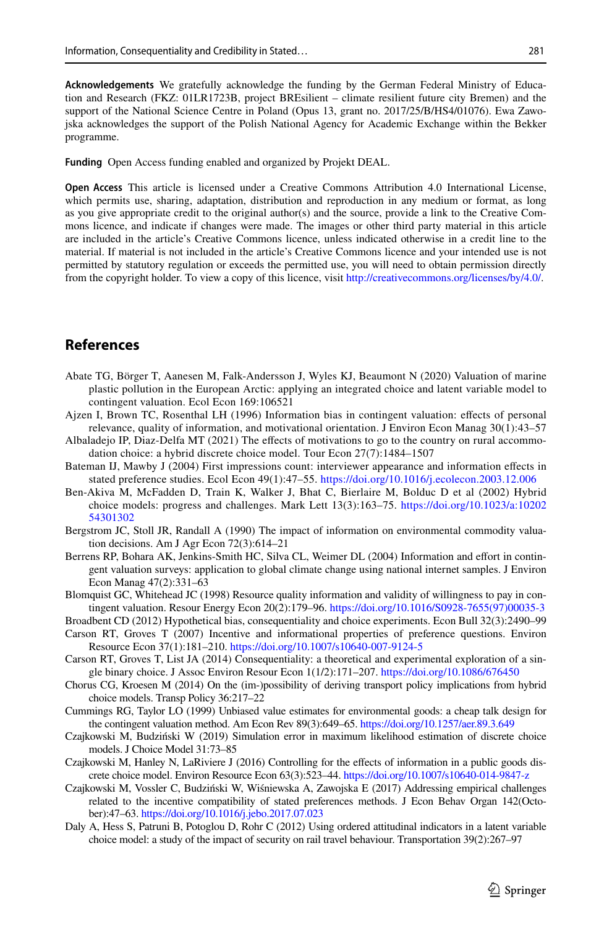**Acknowledgements** We gratefully acknowledge the funding by the German Federal Ministry of Education and Research (FKZ: 01LR1723B, project BREsilient – climate resilient future city Bremen) and the support of the National Science Centre in Poland (Opus 13, grant no. 2017/25/B/HS4/01076). Ewa Zawojska acknowledges the support of the Polish National Agency for Academic Exchange within the Bekker programme.

**Funding** Open Access funding enabled and organized by Projekt DEAL.

**Open Access** This article is licensed under a Creative Commons Attribution 4.0 International License, which permits use, sharing, adaptation, distribution and reproduction in any medium or format, as long as you give appropriate credit to the original author(s) and the source, provide a link to the Creative Commons licence, and indicate if changes were made. The images or other third party material in this article are included in the article's Creative Commons licence, unless indicated otherwise in a credit line to the material. If material is not included in the article's Creative Commons licence and your intended use is not permitted by statutory regulation or exceeds the permitted use, you will need to obtain permission directly from the copyright holder. To view a copy of this licence, visit [http://creativecommons.org/licenses/by/4.0/.](http://creativecommons.org/licenses/by/4.0/)

## **References**

- <span id="page-24-12"></span>Abate TG, Börger T, Aanesen M, Falk-Andersson J, Wyles KJ, Beaumont N (2020) Valuation of marine plastic pollution in the European Arctic: applying an integrated choice and latent variable model to contingent valuation. Ecol Econ 169:106521
- <span id="page-24-7"></span>Ajzen I, Brown TC, Rosenthal LH (1996) Information bias in contingent valuation: efects of personal relevance, quality of information, and motivational orientation. J Environ Econ Manag 30(1):43–57
- <span id="page-24-13"></span>Albaladejo IP, Diaz-Delfa MT (2021) The efects of motivations to go to the country on rural accommodation choice: a hybrid discrete choice model. Tour Econ 27(7):1484–1507
- <span id="page-24-5"></span>Bateman IJ, Mawby J (2004) First impressions count: interviewer appearance and information efects in stated preference studies. Ecol Econ 49(1):47–55.<https://doi.org/10.1016/j.ecolecon.2003.12.006>
- <span id="page-24-11"></span>Ben-Akiva M, McFadden D, Train K, Walker J, Bhat C, Bierlaire M, Bolduc D et al (2002) Hybrid choice models: progress and challenges. Mark Lett 13(3):163–75. [https://doi.org/10.1023/a:10202](https://doi.org/10.1023/a:1020254301302) [54301302](https://doi.org/10.1023/a:1020254301302)
- <span id="page-24-8"></span>Bergstrom JC, Stoll JR, Randall A (1990) The impact of information on environmental commodity valuation decisions. Am J Agr Econ 72(3):614–21
- <span id="page-24-6"></span>Berrens RP, Bohara AK, Jenkins-Smith HC, Silva CL, Weimer DL (2004) Information and efort in contingent valuation surveys: application to global climate change using national internet samples. J Environ Econ Manag 47(2):331–63
- <span id="page-24-0"></span>Blomquist GC, Whitehead JC (1998) Resource quality information and validity of willingness to pay in contingent valuation. Resour Energy Econ 20(2):179–96. [https://doi.org/10.1016/S0928-7655\(97\)00035-3](https://doi.org/10.1016/S0928-7655(97)00035-3)
- <span id="page-24-10"></span>Broadbent CD (2012) Hypothetical bias, consequentiality and choice experiments. Econ Bull 32(3):2490–99
- <span id="page-24-2"></span>Carson RT, Groves T (2007) Incentive and informational properties of preference questions. Environ Resource Econ 37(1):181–210.<https://doi.org/10.1007/s10640-007-9124-5>
- <span id="page-24-9"></span>Carson RT, Groves T, List JA (2014) Consequentiality: a theoretical and experimental exploration of a single binary choice. J Assoc Environ Resour Econ 1(1/2):171–207. <https://doi.org/10.1086/676450>
- <span id="page-24-16"></span>Chorus CG, Kroesen M (2014) On the (im-)possibility of deriving transport policy implications from hybrid choice models. Transp Policy 36:217–22
- <span id="page-24-3"></span>Cummings RG, Taylor LO (1999) Unbiased value estimates for environmental goods: a cheap talk design for the contingent valuation method. Am Econ Rev 89(3):649–65.<https://doi.org/10.1257/aer.89.3.649>
- <span id="page-24-15"></span>Czajkowski M, Budziński W (2019) Simulation error in maximum likelihood estimation of discrete choice models. J Choice Model 31:73–85
- <span id="page-24-1"></span>Czajkowski M, Hanley N, LaRiviere J (2016) Controlling for the efects of information in a public goods discrete choice model. Environ Resource Econ 63(3):523–44. <https://doi.org/10.1007/s10640-014-9847-z>
- <span id="page-24-4"></span>Czajkowski M, Vossler C, Budziński W, Wiśniewska A, Zawojska E (2017) Addressing empirical challenges related to the incentive compatibility of stated preferences methods. J Econ Behav Organ 142(October):47–63. <https://doi.org/10.1016/j.jebo.2017.07.023>
- <span id="page-24-14"></span>Daly A, Hess S, Patruni B, Potoglou D, Rohr C (2012) Using ordered attitudinal indicators in a latent variable choice model: a study of the impact of security on rail travel behaviour. Transportation 39(2):267–97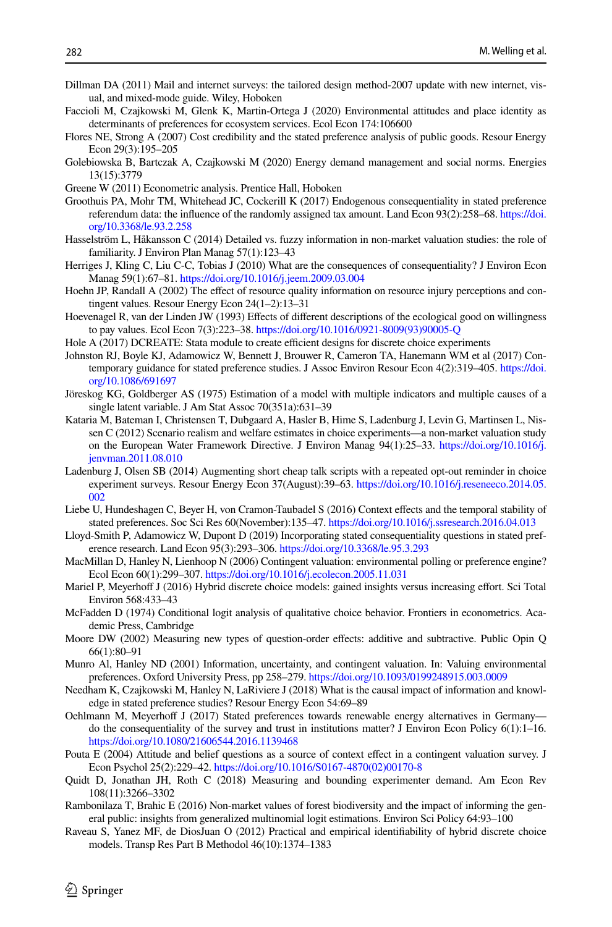- <span id="page-25-12"></span>Dillman DA (2011) Mail and internet surveys: the tailored design method-2007 update with new internet, visual, and mixed-mode guide. Wiley, Hoboken
- <span id="page-25-22"></span>Faccioli M, Czajkowski M, Glenk K, Martin-Ortega J (2020) Environmental attitudes and place identity as determinants of preferences for ecosystem services. Ecol Econ 174:106600
- <span id="page-25-18"></span>Flores NE, Strong A (2007) Cost credibility and the stated preference analysis of public goods. Resour Energy Econ 29(3):195–205
- <span id="page-25-23"></span>Golebiowska B, Bartczak A, Czajkowski M (2020) Energy demand management and social norms. Energies 13(15):3779
- <span id="page-25-21"></span>Greene W (2011) Econometric analysis. Prentice Hall, Hoboken
- <span id="page-25-17"></span>Groothuis PA, Mohr TM, Whitehead JC, Cockerill K (2017) Endogenous consequentiality in stated preference referendum data: the infuence of the randomly assigned tax amount. Land Econ 93(2):258–68. [https://doi.](https://doi.org/10.3368/le.93.2.258) [org/10.3368/le.93.2.258](https://doi.org/10.3368/le.93.2.258)
- <span id="page-25-10"></span>Hasselström L, Håkansson C (2014) Detailed vs. fuzzy information in non-market valuation studies: the role of familiarity. J Environ Plan Manag 57(1):123–43
- <span id="page-25-16"></span>Herriges J, Kling C, Liu C-C, Tobias J (2010) What are the consequences of consequentiality? J Environ Econ Manag 59(1):67–81.<https://doi.org/10.1016/j.jeem.2009.03.004>
- <span id="page-25-9"></span>Hoehn JP, Randall A (2002) The effect of resource quality information on resource injury perceptions and contingent values. Resour Energy Econ 24(1–2):13–31
- <span id="page-25-2"></span>Hoevenagel R, van der Linden JW (1993) Efects of diferent descriptions of the ecological good on willingness to pay values. Ecol Econ 7(3):223–38. [https://doi.org/10.1016/0921-8009\(93\)90005-Q](https://doi.org/10.1016/0921-8009(93)90005-Q)
- <span id="page-25-20"></span>Hole A (2017) DCREATE: Stata module to create efficient designs for discrete choice experiments
- <span id="page-25-1"></span>Johnston RJ, Boyle KJ, Adamowicz W, Bennett J, Brouwer R, Cameron TA, Hanemann WM et al (2017) Contemporary guidance for stated preference studies. J Assoc Environ Resour Econ 4(2):319–405. [https://doi.](https://doi.org/10.1086/691697) [org/10.1086/691697](https://doi.org/10.1086/691697)
- <span id="page-25-25"></span>Jöreskog KG, Goldberger AS (1975) Estimation of a model with multiple indicators and multiple causes of a single latent variable. J Am Stat Assoc 70(351a):631–39
- <span id="page-25-19"></span>Kataria M, Bateman I, Christensen T, Dubgaard A, Hasler B, Hime S, Ladenburg J, Levin G, Martinsen L, Nissen C (2012) Scenario realism and welfare estimates in choice experiments—a non-market valuation study on the European Water Framework Directive. J Environ Manag 94(1):25–33. [https://doi.org/10.1016/j.](https://doi.org/10.1016/j.jenvman.2011.08.010) [jenvman.2011.08.010](https://doi.org/10.1016/j.jenvman.2011.08.010)
- <span id="page-25-3"></span>Ladenburg J, Olsen SB (2014) Augmenting short cheap talk scripts with a repeated opt-out reminder in choice experiment surveys. Resour Energy Econ 37(August):39–63. [https://doi.org/10.1016/j.reseneeco.2014.05.](https://doi.org/10.1016/j.reseneeco.2014.05.002) [002](https://doi.org/10.1016/j.reseneeco.2014.05.002)
- <span id="page-25-14"></span>Liebe U, Hundeshagen C, Beyer H, von Cramon-Taubadel S (2016) Context efects and the temporal stability of stated preferences. Soc Sci Res 60(November):135–47.<https://doi.org/10.1016/j.ssresearch.2016.04.013>
- <span id="page-25-5"></span>Lloyd-Smith P, Adamowicz W, Dupont D (2019) Incorporating stated consequentiality questions in stated preference research. Land Econ 95(3):293–306. <https://doi.org/10.3368/le.95.3.293>
- <span id="page-25-7"></span>MacMillan D, Hanley N, Lienhoop N (2006) Contingent valuation: environmental polling or preference engine? Ecol Econ 60(1):299–307. <https://doi.org/10.1016/j.ecolecon.2005.11.031>
- <span id="page-25-24"></span>Mariel P, Meyerhoff J (2016) Hybrid discrete choice models: gained insights versus increasing effort. Sci Total Environ 568:433–43
- <span id="page-25-26"></span>McFadden D (1974) Conditional logit analysis of qualitative choice behavior. Frontiers in econometrics. Academic Press, Cambridge
- <span id="page-25-11"></span>Moore DW (2002) Measuring new types of question-order effects: additive and subtractive. Public Opin Q 66(1):80–91
- <span id="page-25-0"></span>Munro Al, Hanley ND (2001) Information, uncertainty, and contingent valuation. In: Valuing environmental preferences. Oxford University Press, pp 258–279. <https://doi.org/10.1093/0199248915.003.0009>
- <span id="page-25-8"></span>Needham K, Czajkowski M, Hanley N, LaRiviere J (2018) What is the causal impact of information and knowledge in stated preference studies? Resour Energy Econ 54:69–89
- <span id="page-25-4"></span>Oehlmann M, Meyerhof J (2017) Stated preferences towards renewable energy alternatives in Germany do the consequentiality of the survey and trust in institutions matter? J Environ Econ Policy 6(1):1–16. <https://doi.org/10.1080/21606544.2016.1139468>
- <span id="page-25-13"></span>Pouta E (2004) Attitude and belief questions as a source of context efect in a contingent valuation survey. J Econ Psychol 25(2):229–42. [https://doi.org/10.1016/S0167-4870\(02\)00170-8](https://doi.org/10.1016/S0167-4870(02)00170-8)
- <span id="page-25-15"></span>Quidt D, Jonathan JH, Roth C (2018) Measuring and bounding experimenter demand. Am Econ Rev 108(11):3266–3302
- <span id="page-25-6"></span>Rambonilaza T, Brahic E (2016) Non-market values of forest biodiversity and the impact of informing the general public: insights from generalized multinomial logit estimations. Environ Sci Policy 64:93–100
- <span id="page-25-27"></span>Raveau S, Yanez MF, de DiosJuan O (2012) Practical and empirical identifability of hybrid discrete choice models. Transp Res Part B Methodol 46(10):1374–1383